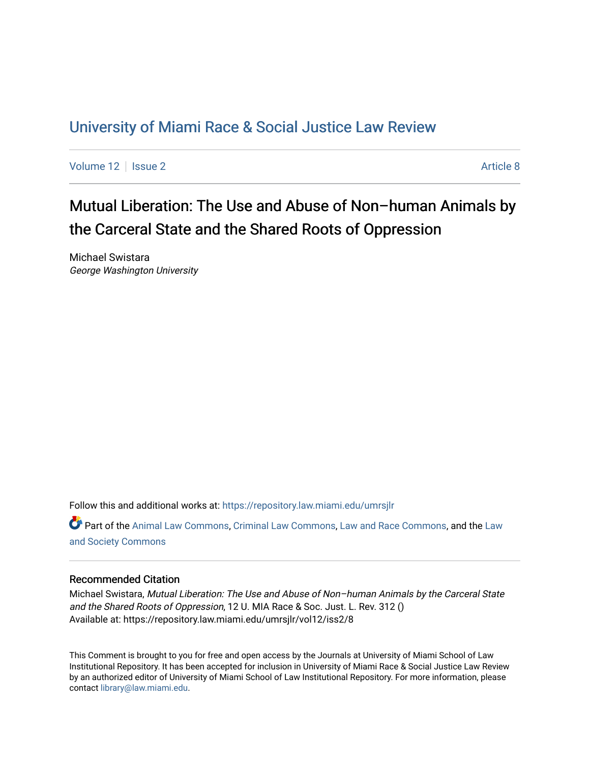## [University of Miami Race & Social Justice Law Review](https://repository.law.miami.edu/umrsjlr)

[Volume 12](https://repository.law.miami.edu/umrsjlr/vol12) | [Issue 2](https://repository.law.miami.edu/umrsjlr/vol12/iss2) Article 8

Mutual Liberation: The Use and Abuse of Non–human Animals by the Carceral State and the Shared Roots of Oppression

Michael Swistara George Washington University

Follow this and additional works at: [https://repository.law.miami.edu/umrsjlr](https://repository.law.miami.edu/umrsjlr?utm_source=repository.law.miami.edu%2Fumrsjlr%2Fvol12%2Fiss2%2F8&utm_medium=PDF&utm_campaign=PDFCoverPages)

Part of the [Animal Law Commons,](http://network.bepress.com/hgg/discipline/831?utm_source=repository.law.miami.edu%2Fumrsjlr%2Fvol12%2Fiss2%2F8&utm_medium=PDF&utm_campaign=PDFCoverPages) [Criminal Law Commons](http://network.bepress.com/hgg/discipline/912?utm_source=repository.law.miami.edu%2Fumrsjlr%2Fvol12%2Fiss2%2F8&utm_medium=PDF&utm_campaign=PDFCoverPages), [Law and Race Commons,](http://network.bepress.com/hgg/discipline/1300?utm_source=repository.law.miami.edu%2Fumrsjlr%2Fvol12%2Fiss2%2F8&utm_medium=PDF&utm_campaign=PDFCoverPages) and the Law [and Society Commons](http://network.bepress.com/hgg/discipline/853?utm_source=repository.law.miami.edu%2Fumrsjlr%2Fvol12%2Fiss2%2F8&utm_medium=PDF&utm_campaign=PDFCoverPages)

## Recommended Citation

Michael Swistara, Mutual Liberation: The Use and Abuse of Non–human Animals by the Carceral State and the Shared Roots of Oppression, 12 U. MIA Race & Soc. Just. L. Rev. 312 () Available at: https://repository.law.miami.edu/umrsjlr/vol12/iss2/8

This Comment is brought to you for free and open access by the Journals at University of Miami School of Law Institutional Repository. It has been accepted for inclusion in University of Miami Race & Social Justice Law Review by an authorized editor of University of Miami School of Law Institutional Repository. For more information, please contact [library@law.miami.edu](mailto:library@law.miami.edu).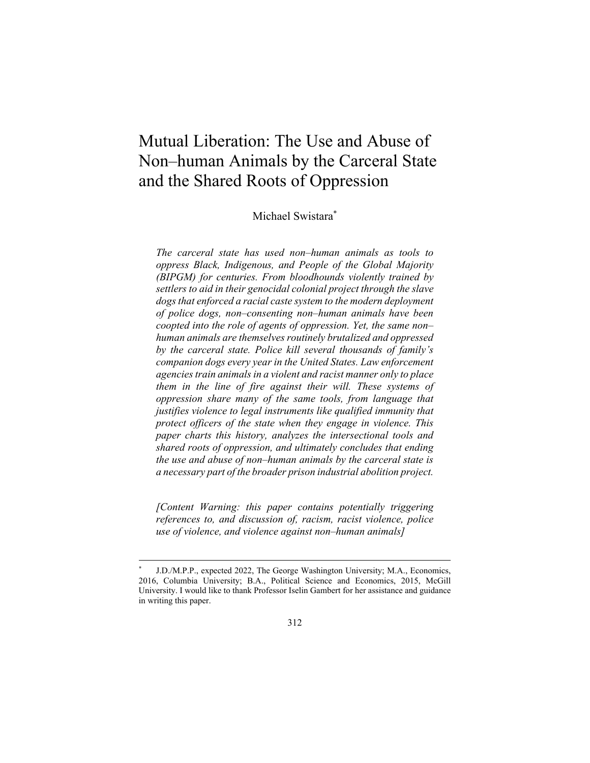# Mutual Liberation: The Use and Abuse of Non–human Animals by the Carceral State and the Shared Roots of Oppression

Michael Swistara\*

*The carceral state has used non–human animals as tools to oppress Black, Indigenous, and People of the Global Majority (BIPGM) for centuries. From bloodhounds violently trained by settlers to aid in their genocidal colonial project through the slave dogs that enforced a racial caste system to the modern deployment of police dogs, non–consenting non–human animals have been coopted into the role of agents of oppression. Yet, the same non– human animals are themselves routinely brutalized and oppressed by the carceral state. Police kill several thousands of family's companion dogs every year in the United States. Law enforcement agencies train animals in a violent and racist manner only to place them in the line of fire against their will. These systems of oppression share many of the same tools, from language that justifies violence to legal instruments like qualified immunity that protect officers of the state when they engage in violence. This paper charts this history, analyzes the intersectional tools and shared roots of oppression, and ultimately concludes that ending the use and abuse of non–human animals by the carceral state is a necessary part of the broader prison industrial abolition project.* 

*[Content Warning: this paper contains potentially triggering references to, and discussion of, racism, racist violence, police use of violence, and violence against non–human animals]* 

J.D./M.P.P., expected 2022, The George Washington University; M.A., Economics, 2016, Columbia University; B.A., Political Science and Economics, 2015, McGill University. I would like to thank Professor Iselin Gambert for her assistance and guidance in writing this paper.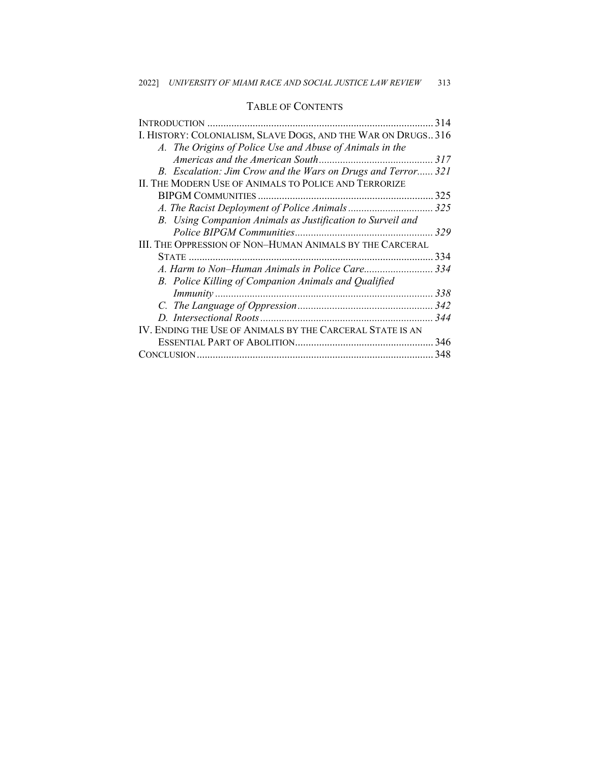## TABLE OF CONTENTS

|                                                              | 314 |
|--------------------------------------------------------------|-----|
| I. HISTORY: COLONIALISM, SLAVE DOGS, AND THE WAR ON DRUGS316 |     |
| A. The Origins of Police Use and Abuse of Animals in the     |     |
|                                                              |     |
| B. Escalation: Jim Crow and the Wars on Drugs and Terror 321 |     |
| II. THE MODERN USE OF ANIMALS TO POLICE AND TERRORIZE        |     |
|                                                              |     |
|                                                              |     |
| B. Using Companion Animals as Justification to Surveil and   |     |
|                                                              | 329 |
| III. THE OPPRESSION OF NON-HUMAN ANIMALS BY THE CARCERAL     |     |
|                                                              | 334 |
|                                                              |     |
| B. Police Killing of Companion Animals and Qualified         |     |
|                                                              |     |
|                                                              |     |
|                                                              |     |
| IV. ENDING THE USE OF ANIMALS BY THE CARCERAL STATE IS AN    |     |
|                                                              | 346 |
|                                                              | 348 |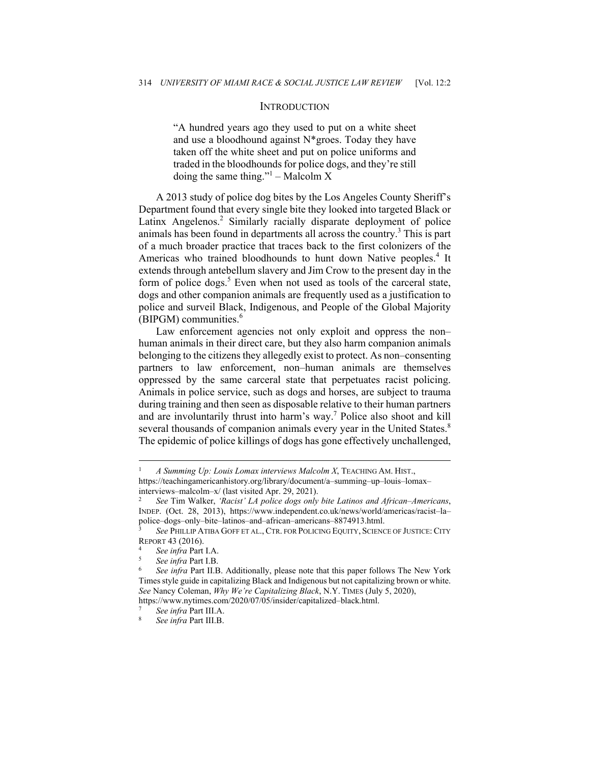#### **INTRODUCTION**

"A hundred years ago they used to put on a white sheet and use a bloodhound against N\*groes. Today they have taken off the white sheet and put on police uniforms and traded in the bloodhounds for police dogs, and they're still doing the same thing."<sup>1</sup> – Malcolm X

A 2013 study of police dog bites by the Los Angeles County Sheriff's Department found that every single bite they looked into targeted Black or Latinx Angelenos.<sup>2</sup> Similarly racially disparate deployment of police animals has been found in departments all across the country.<sup>3</sup> This is part of a much broader practice that traces back to the first colonizers of the Americas who trained bloodhounds to hunt down Native peoples.<sup>4</sup> It extends through antebellum slavery and Jim Crow to the present day in the form of police dogs.<sup>5</sup> Even when not used as tools of the carceral state, dogs and other companion animals are frequently used as a justification to police and surveil Black, Indigenous, and People of the Global Majority  $(BIPGM)$  communities.<sup>6</sup>

Law enforcement agencies not only exploit and oppress the non– human animals in their direct care, but they also harm companion animals belonging to the citizens they allegedly exist to protect. As non–consenting partners to law enforcement, non–human animals are themselves oppressed by the same carceral state that perpetuates racist policing. Animals in police service, such as dogs and horses, are subject to trauma during training and then seen as disposable relative to their human partners and are involuntarily thrust into harm's way.<sup>7</sup> Police also shoot and kill several thousands of companion animals every year in the United States.<sup>8</sup> The epidemic of police killings of dogs has gone effectively unchallenged,

<sup>1</sup> *A Summing Up: Louis Lomax interviews Malcolm X*, TEACHING AM. HIST., https://teachingamericanhistory.org/library/document/a–summing–up–louis–lomax– interviews–malcolm–x/ (last visited Apr. 29, 2021). 2 *See* Tim Walker, *'Racist' LA police dogs only bite Latinos and African–Americans*,

INDEP. (Oct. 28, 2013), https://www.independent.co.uk/news/world/americas/racist–la– police–dogs–only–bite–latinos–and–african–americans–8874913.html. 3 *See* PHILLIP ATIBA GOFF ET AL., CTR. FOR POLICING EQUITY, SCIENCE OF JUSTICE: CITY

REPORT 43 (2016).<br>
<sup>4</sup> See infra Part I.A.<br>
<sup>5</sup> See infra Part II.B. Additionally, please note that this paper follows The New York<br>
<sup>6</sup> See infra Part II.B. Additionally, please note that this paper follows The New York

Times style guide in capitalizing Black and Indigenous but not capitalizing brown or white. *See* Nancy Coleman, *Why We're Capitalizing Black*, N.Y. TIMES (July 5, 2020), https://www.nytimes.com/2020/07/05/insider/capitalized–black.html. 7 *See infra* Part III.A. 8 *See infra* Part III.B.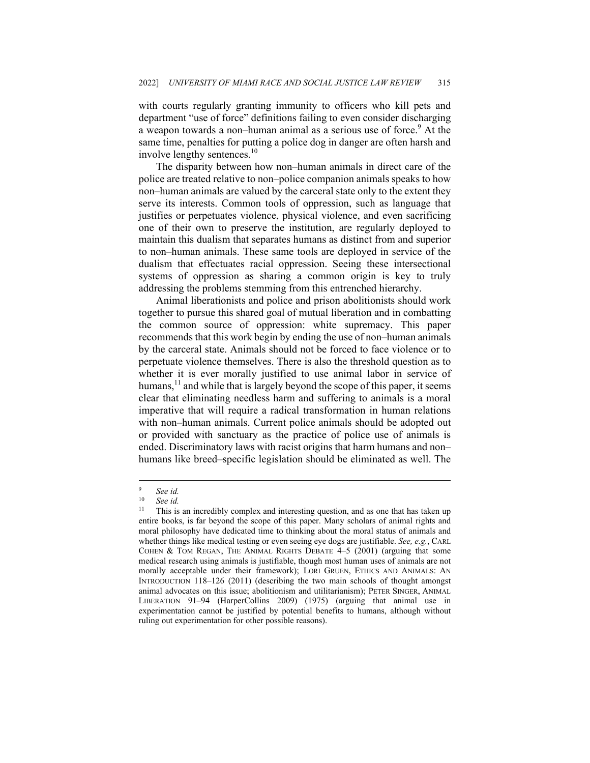with courts regularly granting immunity to officers who kill pets and department "use of force" definitions failing to even consider discharging a weapon towards a non-human animal as a serious use of force.<sup>9</sup> At the same time, penalties for putting a police dog in danger are often harsh and involve lengthy sentences.<sup>10</sup>

The disparity between how non–human animals in direct care of the police are treated relative to non–police companion animals speaks to how non–human animals are valued by the carceral state only to the extent they serve its interests. Common tools of oppression, such as language that justifies or perpetuates violence, physical violence, and even sacrificing one of their own to preserve the institution, are regularly deployed to maintain this dualism that separates humans as distinct from and superior to non–human animals. These same tools are deployed in service of the dualism that effectuates racial oppression. Seeing these intersectional systems of oppression as sharing a common origin is key to truly addressing the problems stemming from this entrenched hierarchy.

Animal liberationists and police and prison abolitionists should work together to pursue this shared goal of mutual liberation and in combatting the common source of oppression: white supremacy. This paper recommends that this work begin by ending the use of non–human animals by the carceral state. Animals should not be forced to face violence or to perpetuate violence themselves. There is also the threshold question as to whether it is ever morally justified to use animal labor in service of humans,<sup>11</sup> and while that is largely beyond the scope of this paper, it seems clear that eliminating needless harm and suffering to animals is a moral imperative that will require a radical transformation in human relations with non–human animals. Current police animals should be adopted out or provided with sanctuary as the practice of police use of animals is ended. Discriminatory laws with racist origins that harm humans and non– humans like breed–specific legislation should be eliminated as well. The

<sup>9</sup> *See id.* 

 $10$  *See id.*<br><sup>11</sup> This is

This is an incredibly complex and interesting question, and as one that has taken up entire books, is far beyond the scope of this paper. Many scholars of animal rights and moral philosophy have dedicated time to thinking about the moral status of animals and whether things like medical testing or even seeing eye dogs are justifiable. *See, e.g.*, CARL COHEN & TOM REGAN, THE ANIMAL RIGHTS DEBATE 4–5 (2001) (arguing that some medical research using animals is justifiable, though most human uses of animals are not morally acceptable under their framework); LORI GRUEN, ETHICS AND ANIMALS: AN INTRODUCTION 118–126 (2011) (describing the two main schools of thought amongst animal advocates on this issue; abolitionism and utilitarianism); PETER SINGER, ANIMAL LIBERATION 91–94 (HarperCollins 2009) (1975) (arguing that animal use in experimentation cannot be justified by potential benefits to humans, although without ruling out experimentation for other possible reasons).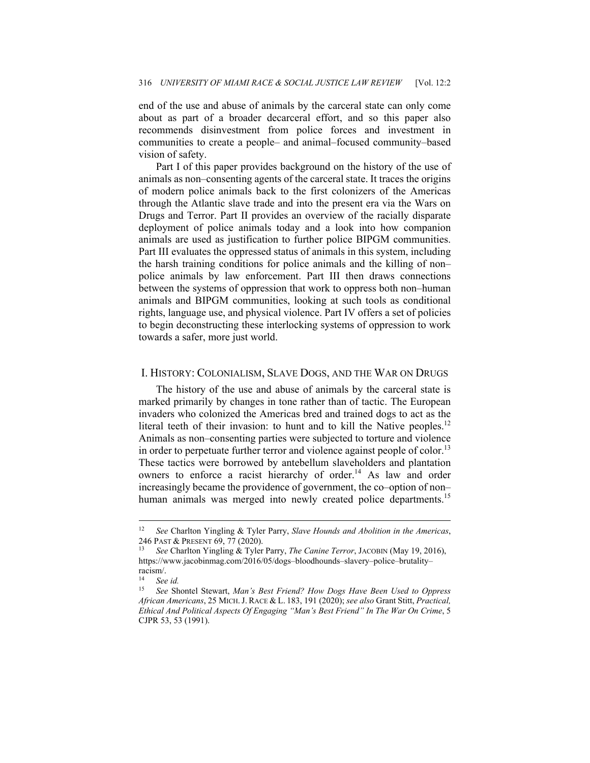end of the use and abuse of animals by the carceral state can only come about as part of a broader decarceral effort, and so this paper also recommends disinvestment from police forces and investment in communities to create a people– and animal–focused community–based vision of safety.

Part I of this paper provides background on the history of the use of animals as non–consenting agents of the carceral state. It traces the origins of modern police animals back to the first colonizers of the Americas through the Atlantic slave trade and into the present era via the Wars on Drugs and Terror. Part II provides an overview of the racially disparate deployment of police animals today and a look into how companion animals are used as justification to further police BIPGM communities. Part III evaluates the oppressed status of animals in this system, including the harsh training conditions for police animals and the killing of non– police animals by law enforcement. Part III then draws connections between the systems of oppression that work to oppress both non–human animals and BIPGM communities, looking at such tools as conditional rights, language use, and physical violence. Part IV offers a set of policies to begin deconstructing these interlocking systems of oppression to work towards a safer, more just world.

#### I. HISTORY: COLONIALISM, SLAVE DOGS, AND THE WAR ON DRUGS

The history of the use and abuse of animals by the carceral state is marked primarily by changes in tone rather than of tactic. The European invaders who colonized the Americas bred and trained dogs to act as the literal teeth of their invasion: to hunt and to kill the Native peoples.<sup>12</sup> Animals as non–consenting parties were subjected to torture and violence in order to perpetuate further terror and violence against people of color.<sup>13</sup> These tactics were borrowed by antebellum slaveholders and plantation owners to enforce a racist hierarchy of order.<sup>14</sup> As law and order increasingly became the providence of government, the co–option of non– human animals was merged into newly created police departments.<sup>15</sup>

<sup>12</sup> *See* Charlton Yingling & Tyler Parry, *Slave Hounds and Abolition in the Americas*, 246 PAST & PRESENT 69, 77 (2020). 13 *See* Charlton Yingling & Tyler Parry, *The Canine Terror*, JACOBIN (May 19, 2016),

https://www.jacobinmag.com/2016/05/dogs–bloodhounds–slavery–police–brutality– racism/.

<sup>14</sup> *See id.* 

<sup>15</sup> *See* Shontel Stewart, *Man's Best Friend? How Dogs Have Been Used to Oppress African Americans*, 25 MICH.J. RACE & L. 183, 191 (2020); *see also* Grant Stitt, *Practical, Ethical And Political Aspects Of Engaging "Man's Best Friend" In The War On Crime*, 5 CJPR 53, 53 (1991).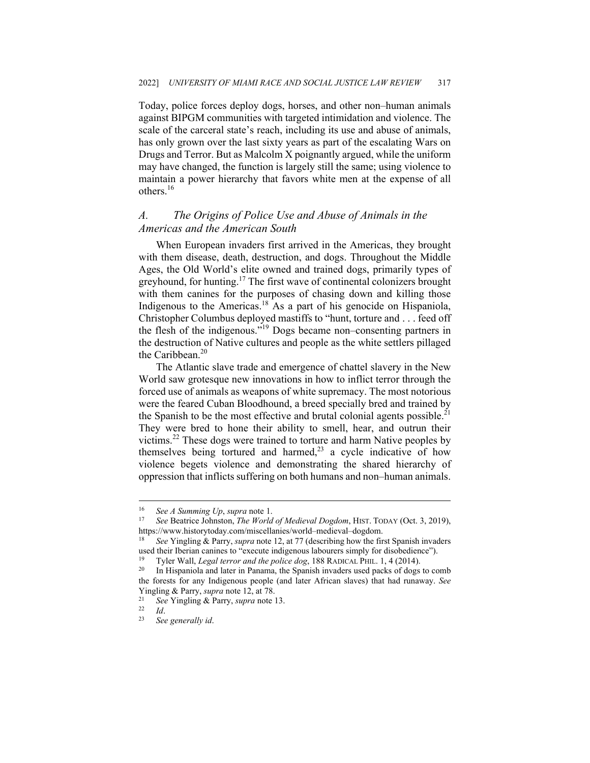Today, police forces deploy dogs, horses, and other non–human animals against BIPGM communities with targeted intimidation and violence. The scale of the carceral state's reach, including its use and abuse of animals, has only grown over the last sixty years as part of the escalating Wars on Drugs and Terror. But as Malcolm X poignantly argued, while the uniform may have changed, the function is largely still the same; using violence to maintain a power hierarchy that favors white men at the expense of all others.<sup>16</sup>

## *A. The Origins of Police Use and Abuse of Animals in the Americas and the American South*

When European invaders first arrived in the Americas, they brought with them disease, death, destruction, and dogs. Throughout the Middle Ages, the Old World's elite owned and trained dogs, primarily types of greyhound, for hunting.<sup>17</sup> The first wave of continental colonizers brought with them canines for the purposes of chasing down and killing those Indigenous to the Americas.18 As a part of his genocide on Hispaniola, Christopher Columbus deployed mastiffs to "hunt, torture and . . . feed off the flesh of the indigenous."19 Dogs became non–consenting partners in the destruction of Native cultures and people as the white settlers pillaged the Caribbean.<sup>20</sup>

The Atlantic slave trade and emergence of chattel slavery in the New World saw grotesque new innovations in how to inflict terror through the forced use of animals as weapons of white supremacy. The most notorious were the feared Cuban Bloodhound, a breed specially bred and trained by the Spanish to be the most effective and brutal colonial agents possible.<sup>21</sup> They were bred to hone their ability to smell, hear, and outrun their victims.22 These dogs were trained to torture and harm Native peoples by themselves being tortured and harmed,<sup>23</sup> a cycle indicative of how violence begets violence and demonstrating the shared hierarchy of oppression that inflicts suffering on both humans and non–human animals.

<sup>16</sup> *See A Summing Up*, *supra* note 1. 17 *See* Beatrice Johnston, *The World of Medieval Dogdom*, HIST. TODAY (Oct. 3, 2019), https://www.historytoday.com/miscellanies/world–medieval–dogdom. 18 *See* Yingling & Parry, *supra* note 12, at 77 (describing how the first Spanish invaders

used their Iberian canines to "execute indigenous labourers simply for disobedience").<br><sup>19</sup> Tyler Wall, *Legal terror and the police dog*, 188 RADICAL PHIL. 1, 4 (2014).<br><sup>20</sup> In Hispaniola and later in Panama, the Spanish

the forests for any Indigenous people (and later African slaves) that had runaway. *See*  Yingling & Parry, *supra* note 12, at 78. 21 *See* Yingling & Parry, *supra* note 13. 22 *Id*. 23 *See generally id*.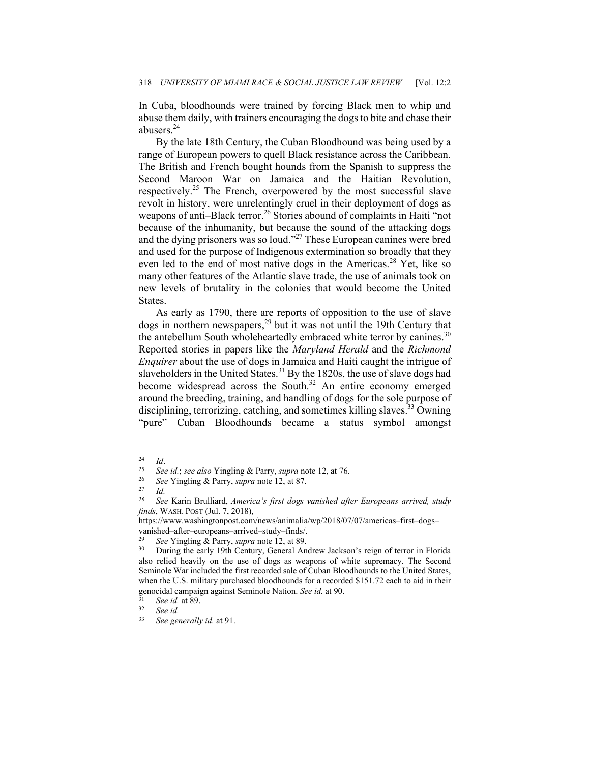In Cuba, bloodhounds were trained by forcing Black men to whip and abuse them daily, with trainers encouraging the dogs to bite and chase their abusers.<sup>24</sup>

By the late 18th Century, the Cuban Bloodhound was being used by a range of European powers to quell Black resistance across the Caribbean. The British and French bought hounds from the Spanish to suppress the Second Maroon War on Jamaica and the Haitian Revolution, respectively.25 The French, overpowered by the most successful slave revolt in history, were unrelentingly cruel in their deployment of dogs as weapons of anti–Black terror.<sup>26</sup> Stories abound of complaints in Haiti "not because of the inhumanity, but because the sound of the attacking dogs and the dying prisoners was so loud."27 These European canines were bred and used for the purpose of Indigenous extermination so broadly that they even led to the end of most native dogs in the Americas.<sup>28</sup> Yet, like so many other features of the Atlantic slave trade, the use of animals took on new levels of brutality in the colonies that would become the United States.

As early as 1790, there are reports of opposition to the use of slave dogs in northern newspapers,<sup>29</sup> but it was not until the 19th Century that the antebellum South wholeheartedly embraced white terror by canines.<sup>30</sup> Reported stories in papers like the *Maryland Herald* and the *Richmond Enquirer* about the use of dogs in Jamaica and Haiti caught the intrigue of slaveholders in the United States.<sup>31</sup> By the 1820s, the use of slave dogs had become widespread across the South.<sup>32</sup> An entire economy emerged around the breeding, training, and handling of dogs for the sole purpose of disciplining, terrorizing, catching, and sometimes killing slaves.<sup>33</sup> Owning "pure" Cuban Bloodhounds became a status symbol amongst

 $\frac{24}{25}$  *Id.* 

<sup>25</sup> *See id.*; *see also* Yingling & Parry, *supra* note 12, at 76. 26 *See* Yingling & Parry, *supra* note 12, at 87. 27 *Id.*

<sup>28</sup> *See* Karin Brulliard, *America's first dogs vanished after Europeans arrived, study finds*, WASH. POST (Jul. 7, 2018),

https://www.washingtonpost.com/news/animalia/wp/2018/07/07/americas–first–dogs– vanished–after–europeans–arrived–study–finds/.

<sup>&</sup>lt;sup>29</sup> See Yingling & Parry, *supra* note 12, at 89.<br><sup>30</sup> During the early 19th Century, General Andrew Jackson's reign of terror in Florida also relied heavily on the use of dogs as weapons of white supremacy. The Second Seminole War included the first recorded sale of Cuban Bloodhounds to the United States, when the U.S. military purchased bloodhounds for a recorded \$151.72 each to aid in their genocidal campaign against Seminole Nation. *See id.* at 90.<br><sup>31</sup> *See id.* at 89.<br><sup>32</sup> *See id.* 33<sup>2</sup> See id.

See generally id. at 91.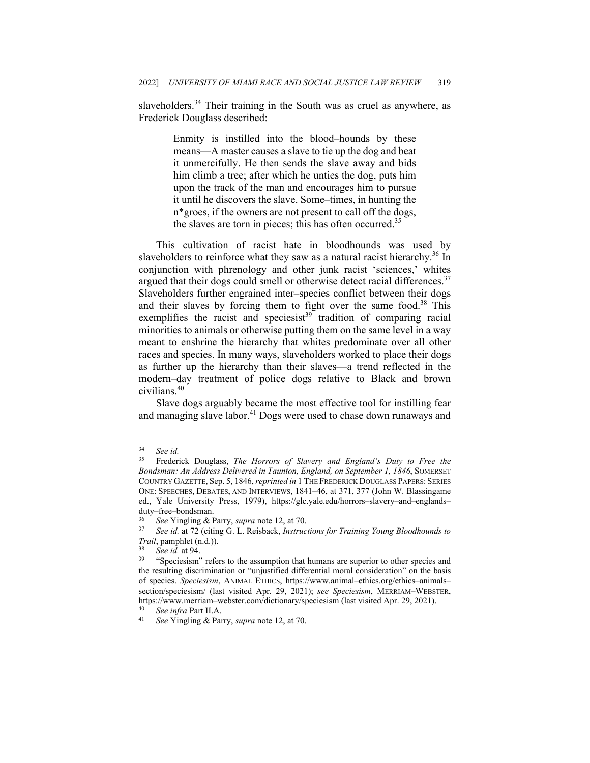slaveholders.<sup>34</sup> Their training in the South was as cruel as anywhere, as Frederick Douglass described:

> Enmity is instilled into the blood–hounds by these means—A master causes a slave to tie up the dog and beat it unmercifully. He then sends the slave away and bids him climb a tree; after which he unties the dog, puts him upon the track of the man and encourages him to pursue it until he discovers the slave. Some–times, in hunting the n\*groes, if the owners are not present to call off the dogs, the slaves are torn in pieces; this has often occurred.<sup>35</sup>

This cultivation of racist hate in bloodhounds was used by slaveholders to reinforce what they saw as a natural racist hierarchy.<sup>36</sup> In conjunction with phrenology and other junk racist 'sciences,' whites argued that their dogs could smell or otherwise detect racial differences.<sup>37</sup> Slaveholders further engrained inter–species conflict between their dogs and their slaves by forcing them to fight over the same food.<sup>38</sup> This exemplifies the racist and speciesist<sup>39</sup> tradition of comparing racial minorities to animals or otherwise putting them on the same level in a way meant to enshrine the hierarchy that whites predominate over all other races and species. In many ways, slaveholders worked to place their dogs as further up the hierarchy than their slaves—a trend reflected in the modern–day treatment of police dogs relative to Black and brown civilians.<sup>40</sup>

Slave dogs arguably became the most effective tool for instilling fear and managing slave labor.<sup>41</sup> Dogs were used to chase down runaways and

<sup>34</sup> *See id.* 

<sup>35</sup> Frederick Douglass, *The Horrors of Slavery and England's Duty to Free the Bondsman: An Address Delivered in Taunton, England, on September 1, 1846*, SOMERSET COUNTRY GAZETTE, Sep. 5, 1846, *reprinted in* 1 THE FREDERICK DOUGLASS PAPERS: SERIES ONE: SPEECHES, DEBATES, AND INTERVIEWS, 1841–46, at 371, 377 (John W. Blassingame ed., Yale University Press, 1979), https://glc.yale.edu/horrors–slavery–and–englands– duty–free–bondsman.

<sup>36</sup> *See* Yingling & Parry, *supra* note 12, at 70. 37 *See id.* at 72 (citing G. L. Reisback, *Instructions for Training Young Bloodhounds to* 

*Trail*, pamphlet (n.d.)).<br><sup>38</sup> See id. at 94.<br><sup>39</sup> "Speciesism" refers to the assumption that humans are superior to other species and the resulting discrimination or "unjustified differential moral consideration" on the basis of species. *Speciesism*, ANIMAL ETHICS, https://www.animal–ethics.org/ethics–animals– section/speciesism/ (last visited Apr. 29, 2021); *see Speciesism*, MERRIAM–WEBSTER, https://www.merriam–webster.com/dictionary/speciesism (last visited Apr. 29, 2021). 40 *See infra* Part II.A. 41 *See* Yingling & Parry, *supra* note 12, at 70.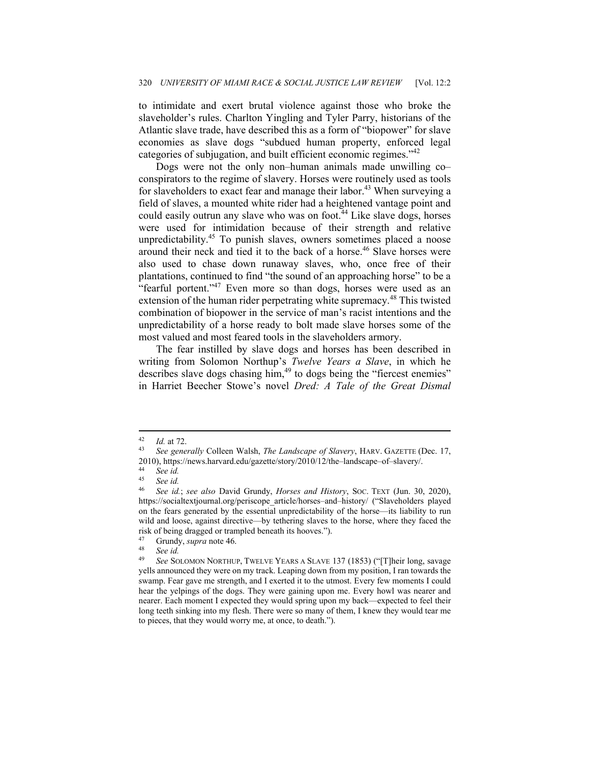to intimidate and exert brutal violence against those who broke the slaveholder's rules. Charlton Yingling and Tyler Parry, historians of the Atlantic slave trade, have described this as a form of "biopower" for slave economies as slave dogs "subdued human property, enforced legal categories of subjugation, and built efficient economic regimes."42

Dogs were not the only non–human animals made unwilling co– conspirators to the regime of slavery. Horses were routinely used as tools for slaveholders to exact fear and manage their labor.<sup>43</sup> When surveying a field of slaves, a mounted white rider had a heightened vantage point and could easily outrun any slave who was on foot.<sup>44</sup> Like slave dogs, horses were used for intimidation because of their strength and relative unpredictability.<sup>45</sup> To punish slaves, owners sometimes placed a noose around their neck and tied it to the back of a horse.<sup>46</sup> Slave horses were also used to chase down runaway slaves, who, once free of their plantations, continued to find "the sound of an approaching horse" to be a "fearful portent."<sup>47</sup> Even more so than dogs, horses were used as an extension of the human rider perpetrating white supremacy.<sup>48</sup> This twisted combination of biopower in the service of man's racist intentions and the unpredictability of a horse ready to bolt made slave horses some of the most valued and most feared tools in the slaveholders armory.

The fear instilled by slave dogs and horses has been described in writing from Solomon Northup's *Twelve Years a Slave*, in which he describes slave dogs chasing him,<sup>49</sup> to dogs being the "fiercest enemies" in Harriet Beecher Stowe's novel *Dred: A Tale of the Great Dismal* 

<sup>42</sup> *Id.* at 72. 43 *See generally* Colleen Walsh, *The Landscape of Slavery*, HARV. GAZETTE (Dec. 17, 2010), https://news.harvard.edu/gazette/story/2010/12/the–landscape–of–slavery/. 44 *See id.*

<sup>45</sup> *See id.*

<sup>46</sup> *See id.*; *see also* David Grundy, *Horses and History*, SOC. TEXT (Jun. 30, 2020), https://socialtextjournal.org/periscope\_article/horses–and–history/ ("Slaveholders played on the fears generated by the essential unpredictability of the horse—its liability to run wild and loose, against directive—by tethering slaves to the horse, where they faced the risk of being dragged or trampled beneath its hooves.").

<sup>47</sup> Grundy, *supra* note 46. 48 *See id.*

See SOLOMON NORTHUP, TWELVE YEARS A SLAVE 137 (1853) ("[T]heir long, savage yells announced they were on my track. Leaping down from my position, I ran towards the swamp. Fear gave me strength, and I exerted it to the utmost. Every few moments I could hear the yelpings of the dogs. They were gaining upon me. Every howl was nearer and nearer. Each moment I expected they would spring upon my back—expected to feel their long teeth sinking into my flesh. There were so many of them, I knew they would tear me to pieces, that they would worry me, at once, to death.").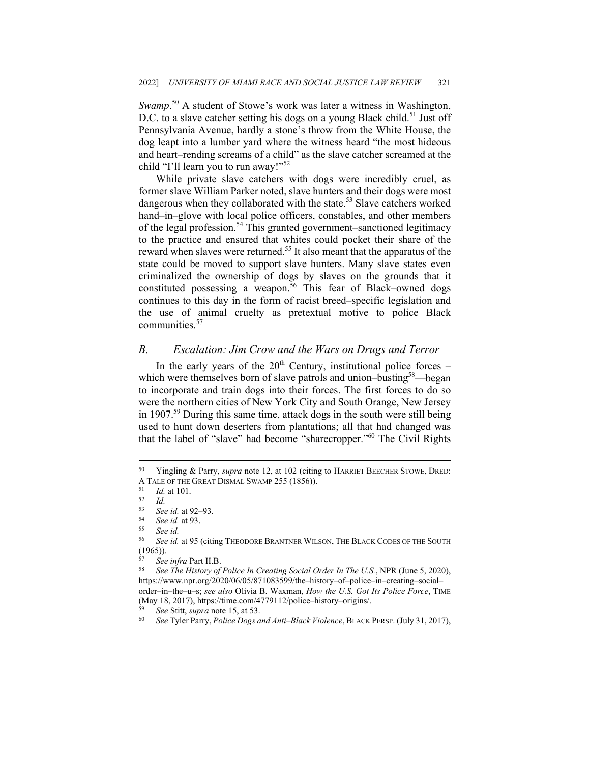*Swamp*. 50 A student of Stowe's work was later a witness in Washington, D.C. to a slave catcher setting his dogs on a young Black child.<sup>51</sup> Just off Pennsylvania Avenue, hardly a stone's throw from the White House, the dog leapt into a lumber yard where the witness heard "the most hideous and heart–rending screams of a child" as the slave catcher screamed at the child "I'll learn you to run away!"<sup>52</sup>

While private slave catchers with dogs were incredibly cruel, as former slave William Parker noted, slave hunters and their dogs were most dangerous when they collaborated with the state.<sup>53</sup> Slave catchers worked hand–in–glove with local police officers, constables, and other members of the legal profession.<sup>54</sup> This granted government–sanctioned legitimacy to the practice and ensured that whites could pocket their share of the reward when slaves were returned.55 It also meant that the apparatus of the state could be moved to support slave hunters. Many slave states even criminalized the ownership of dogs by slaves on the grounds that it constituted possessing a weapon.<sup>56</sup> This fear of Black–owned dogs continues to this day in the form of racist breed–specific legislation and the use of animal cruelty as pretextual motive to police Black communities.<sup>57</sup>

## *B. Escalation: Jim Crow and the Wars on Drugs and Terror*

In the early years of the  $20<sup>th</sup>$  Century, institutional police forces – which were themselves born of slave patrols and union–busting<sup>58</sup>—began to incorporate and train dogs into their forces. The first forces to do so were the northern cities of New York City and South Orange, New Jersey in 1907.<sup>59</sup> During this same time, attack dogs in the south were still being used to hunt down deserters from plantations; all that had changed was that the label of "slave" had become "sharecropper."<sup>60</sup> The Civil Rights

<sup>50</sup> Yingling & Parry, *supra* note 12, at 102 (citing to HARRIET BEECHER STOWE, DRED: A TALE OF THE GREAT DISMAL SWAMP 255 (1856)).<br><sup>51</sup> *Id.* at 101.<br><sup>52</sup> *Id. Sacked* at 92. 93

<sup>53</sup> *See id.* at 92–93. 54 *See id.* at 93. 55 *See id.* 

See id. at 95 (citing THEODORE BRANTNER WILSON, THE BLACK CODES OF THE SOUTH (1965)).

<sup>&</sup>lt;sup>57</sup> See infra Part II.B.<br><sup>58</sup> See The History of Police In Creating Social Order In The U.S., NPR (June 5, 2020), https://www.npr.org/2020/06/05/871083599/the–history–of–police–in–creating–social– order–in–the–u–s; *see also* Olivia B. Waxman, *How the U.S. Got Its Police Force*, TIME (May 18, 2017), https://time.com/4779112/police–history–origins/. 59 *See* Stitt, *supra* note 15, at 53. 60 *See* Tyler Parry, *Police Dogs and Anti–Black Violence*, BLACK PERSP. (July 31, 2017),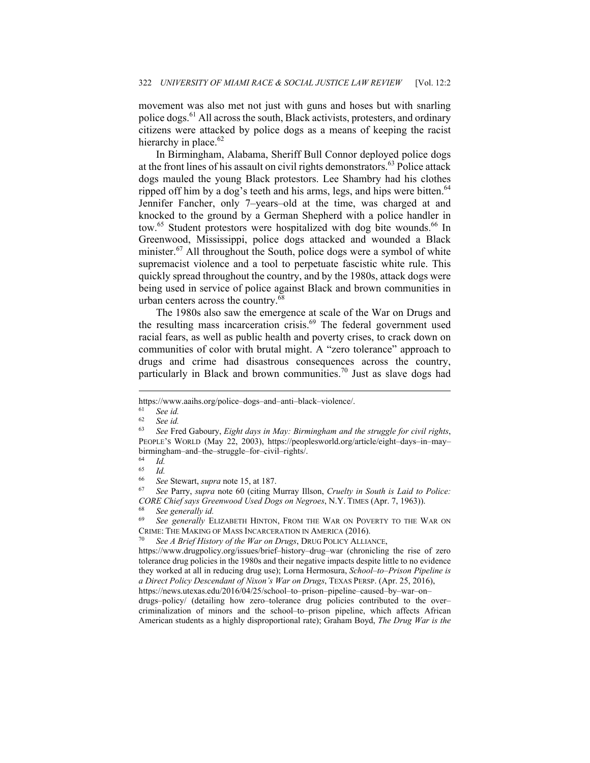movement was also met not just with guns and hoses but with snarling police dogs.<sup>61</sup> All across the south, Black activists, protesters, and ordinary citizens were attacked by police dogs as a means of keeping the racist hierarchy in place. $62$ 

In Birmingham, Alabama, Sheriff Bull Connor deployed police dogs at the front lines of his assault on civil rights demonstrators.<sup>63</sup> Police attack dogs mauled the young Black protestors. Lee Shambry had his clothes ripped off him by a dog's teeth and his arms, legs, and hips were bitten.<sup>64</sup> Jennifer Fancher, only 7–years–old at the time, was charged at and knocked to the ground by a German Shepherd with a police handler in tow.<sup>65</sup> Student protestors were hospitalized with dog bite wounds.<sup>66</sup> In Greenwood, Mississippi, police dogs attacked and wounded a Black minister.<sup>67</sup> All throughout the South, police dogs were a symbol of white supremacist violence and a tool to perpetuate fascistic white rule. This quickly spread throughout the country, and by the 1980s, attack dogs were being used in service of police against Black and brown communities in urban centers across the country.<sup>68</sup>

The 1980s also saw the emergence at scale of the War on Drugs and the resulting mass incarceration crisis. $69$  The federal government used racial fears, as well as public health and poverty crises, to crack down on communities of color with brutal might. A "zero tolerance" approach to drugs and crime had disastrous consequences across the country, particularly in Black and brown communities.70 Just as slave dogs had

https://www.aaihs.org/police–dogs–and–anti–black–violence/. 61 *See id.* 

<sup>62</sup> *See id.* 

<sup>63</sup> *See* Fred Gaboury, *Eight days in May: Birmingham and the struggle for civil rights*, PEOPLE'S WORLD (May 22, 2003), https://peoplesworld.org/article/eight–days–in–may– birmingham–and–the–struggle–for–civil–rights/.

 $\begin{array}{cc} 64 & Id. \\ 65 & Id. \end{array}$ 

 $\frac{65}{66}$  *Id.* 

<sup>66</sup> *See* Stewart, *supra* note 15, at 187. 67 *See* Parry, *supra* note 60 (citing Murray Illson, *Cruelty in South is Laid to Police: CORE Chief says Greenwood Used Dogs on Negroes*, N.Y. TIMES (Apr. 7, 1963)). 68 *See generally id.* 

<sup>69</sup> *See generally* ELIZABETH HINTON, FROM THE WAR ON POVERTY TO THE WAR ON CRIME: THE MAKING OF MASS INCARCERATION IN AMERICA (2016). 70 *See A Brief History of the War on Drugs*, DRUG POLICY ALLIANCE,

https://www.drugpolicy.org/issues/brief–history–drug–war (chronicling the rise of zero tolerance drug policies in the 1980s and their negative impacts despite little to no evidence they worked at all in reducing drug use); Lorna Hermosura, *School–to–Prison Pipeline is a Direct Policy Descendant of Nixon's War on Drugs*, TEXAS PERSP. (Apr. 25, 2016),

https://news.utexas.edu/2016/04/25/school–to–prison–pipeline–caused–by–war–on– drugs–policy/ (detailing how zero–tolerance drug policies contributed to the over– criminalization of minors and the school–to–prison pipeline, which affects African American students as a highly disproportional rate); Graham Boyd, *The Drug War is the*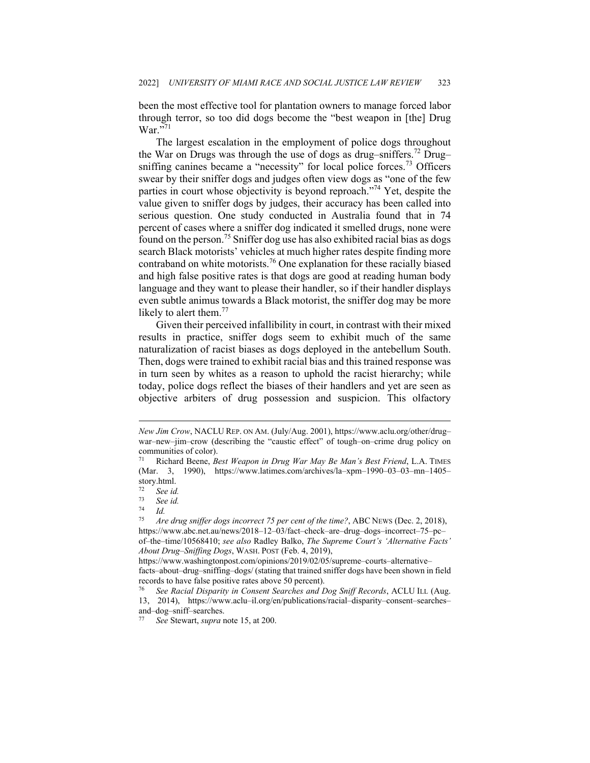been the most effective tool for plantation owners to manage forced labor through terror, so too did dogs become the "best weapon in [the] Drug  $\text{War.}^{571}$ 

The largest escalation in the employment of police dogs throughout the War on Drugs was through the use of dogs as drug–sniffers.<sup>72</sup> Drug– sniffing canines became a "necessity" for local police forces.<sup>73</sup> Officers swear by their sniffer dogs and judges often view dogs as "one of the few parties in court whose objectivity is beyond reproach."74 Yet, despite the value given to sniffer dogs by judges, their accuracy has been called into serious question. One study conducted in Australia found that in 74 percent of cases where a sniffer dog indicated it smelled drugs, none were found on the person.<sup>75</sup> Sniffer dog use has also exhibited racial bias as dogs search Black motorists' vehicles at much higher rates despite finding more contraband on white motorists.<sup>76</sup> One explanation for these racially biased and high false positive rates is that dogs are good at reading human body language and they want to please their handler, so if their handler displays even subtle animus towards a Black motorist, the sniffer dog may be more likely to alert them.<sup>77</sup>

Given their perceived infallibility in court, in contrast with their mixed results in practice, sniffer dogs seem to exhibit much of the same naturalization of racist biases as dogs deployed in the antebellum South. Then, dogs were trained to exhibit racial bias and this trained response was in turn seen by whites as a reason to uphold the racist hierarchy; while today, police dogs reflect the biases of their handlers and yet are seen as objective arbiters of drug possession and suspicion. This olfactory

*New Jim Crow*, NACLU REP. ON AM. (July/Aug. 2001), https://www.aclu.org/other/drug– war–new–jim–crow (describing the "caustic effect" of tough–on–crime drug policy on communities of color).

<sup>71</sup> Richard Beene, *Best Weapon in Drug War May Be Man's Best Friend*, L.A. TIMES (Mar. 3, 1990), https://www.latimes.com/archives/la–xpm–1990–03–03–mn–1405– story.html.

 $\frac{72}{73}$  See id.

 $\frac{73}{74}$  *See id.* 

 $\frac{74}{75}$  *Id.* 

<sup>75</sup> *Are drug sniffer dogs incorrect 75 per cent of the time?*, ABC NEWS (Dec. 2, 2018), https://www.abc.net.au/news/2018–12–03/fact–check–are–drug–dogs–incorrect–75–pc– of–the–time/10568410; *see also* Radley Balko, *The Supreme Court's 'Alternative Facts' About Drug–Sniffing Dogs*, WASH. POST (Feb. 4, 2019),

https://www.washingtonpost.com/opinions/2019/02/05/supreme–courts–alternative– facts–about–drug–sniffing–dogs/ (stating that trained sniffer dogs have been shown in field records to have false positive rates above 50 percent).

<sup>76</sup> *See Racial Disparity in Consent Searches and Dog Sniff Records*, ACLU ILL (Aug. 13, 2014), https://www.aclu–il.org/en/publications/racial–disparity–consent–searches– and–dog–sniff–searches.

<sup>77</sup> *See* Stewart, *supra* note 15, at 200.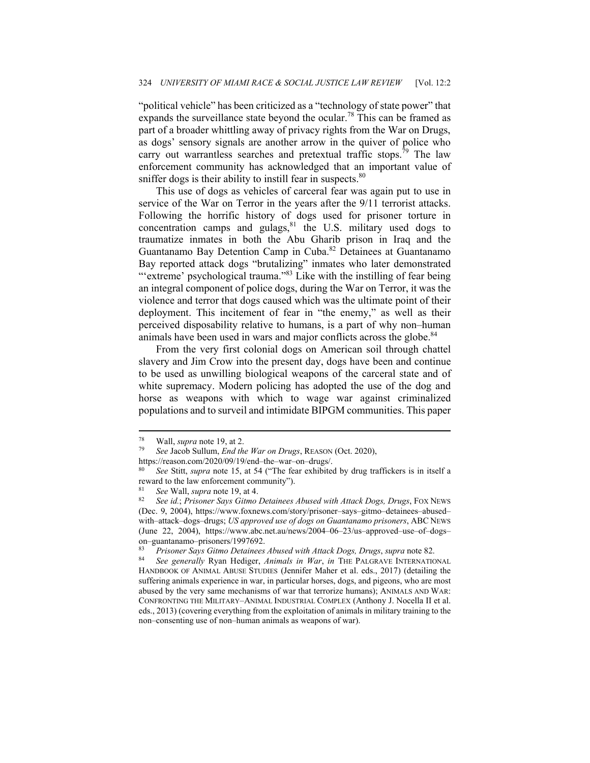"political vehicle" has been criticized as a "technology of state power" that expands the surveillance state beyond the ocular.<sup>78</sup> This can be framed as part of a broader whittling away of privacy rights from the War on Drugs, as dogs' sensory signals are another arrow in the quiver of police who carry out warrantless searches and pretextual traffic stops.<sup>79</sup> The law enforcement community has acknowledged that an important value of sniffer dogs is their ability to instill fear in suspects. $80$ 

This use of dogs as vehicles of carceral fear was again put to use in service of the War on Terror in the years after the 9/11 terrorist attacks. Following the horrific history of dogs used for prisoner torture in concentration camps and gulags, $81$  the U.S. military used dogs to traumatize inmates in both the Abu Gharib prison in Iraq and the Guantanamo Bay Detention Camp in Cuba.82 Detainees at Guantanamo Bay reported attack dogs "brutalizing" inmates who later demonstrated "'extreme' psychological trauma."<sup>83</sup> Like with the instilling of fear being an integral component of police dogs, during the War on Terror, it was the violence and terror that dogs caused which was the ultimate point of their deployment. This incitement of fear in "the enemy," as well as their perceived disposability relative to humans, is a part of why non–human animals have been used in wars and major conflicts across the globe.<sup>84</sup>

From the very first colonial dogs on American soil through chattel slavery and Jim Crow into the present day, dogs have been and continue to be used as unwilling biological weapons of the carceral state and of white supremacy. Modern policing has adopted the use of the dog and horse as weapons with which to wage war against criminalized populations and to surveil and intimidate BIPGM communities. This paper

<sup>78</sup> Wall, *supra* note 19, at 2. 79 *See* Jacob Sullum, *End the War on Drugs*, REASON (Oct. 2020),

https://reason.com/2020/09/19/end–the–war–on–drugs/. 80 *See* Stitt, *supra* note 15, at 54 ("The fear exhibited by drug traffickers is in itself a reward to the law enforcement community").

<sup>&</sup>lt;sup>81</sup> See Wall, *supra* note 19, at 4.<br><sup>82</sup> See id.; *Prisoner Says Gitmo Detainees Abused with Attack Dogs, Drugs*, Fox NEws (Dec. 9, 2004), https://www.foxnews.com/story/prisoner–says–gitmo–detainees–abused– with–attack–dogs–drugs; *US approved use of dogs on Guantanamo prisoners*, ABC NEWS (June 22, 2004), https://www.abc.net.au/news/2004–06–23/us–approved–use–of–dogs– on–guantanamo–prisoners/1997692.

<sup>83</sup> *Prisoner Says Gitmo Detainees Abused with Attack Dogs, Drugs*, *supra* note 82. 84 *See generally* Ryan Hediger, *Animals in War*, *in* THE PALGRAVE INTERNATIONAL HANDBOOK OF ANIMAL ABUSE STUDIES (Jennifer Maher et al. eds., 2017) (detailing the suffering animals experience in war, in particular horses, dogs, and pigeons, who are most abused by the very same mechanisms of war that terrorize humans); ANIMALS AND WAR: CONFRONTING THE MILITARY–ANIMAL INDUSTRIAL COMPLEX (Anthony J. Nocella II et al. eds., 2013) (covering everything from the exploitation of animals in military training to the non–consenting use of non–human animals as weapons of war).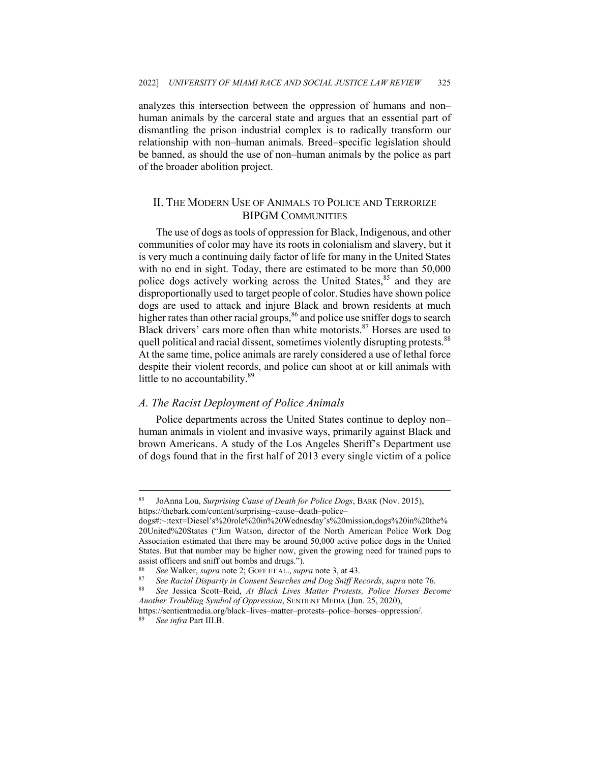analyzes this intersection between the oppression of humans and non– human animals by the carceral state and argues that an essential part of dismantling the prison industrial complex is to radically transform our relationship with non–human animals. Breed–specific legislation should be banned, as should the use of non–human animals by the police as part of the broader abolition project.

## II. THE MODERN USE OF ANIMALS TO POLICE AND TERRORIZE BIPGM COMMUNITIES

The use of dogs as tools of oppression for Black, Indigenous, and other communities of color may have its roots in colonialism and slavery, but it is very much a continuing daily factor of life for many in the United States with no end in sight. Today, there are estimated to be more than 50,000 police dogs actively working across the United States,<sup>85</sup> and they are disproportionally used to target people of color. Studies have shown police dogs are used to attack and injure Black and brown residents at much higher rates than other racial groups,  $86$  and police use sniffer dogs to search Black drivers' cars more often than white motorists. $87$  Horses are used to quell political and racial dissent, sometimes violently disrupting protests.<sup>88</sup> At the same time, police animals are rarely considered a use of lethal force despite their violent records, and police can shoot at or kill animals with little to no accountability.<sup>89</sup>

#### *A. The Racist Deployment of Police Animals*

Police departments across the United States continue to deploy non– human animals in violent and invasive ways, primarily against Black and brown Americans. A study of the Los Angeles Sheriff's Department use of dogs found that in the first half of 2013 every single victim of a police

<sup>85</sup> JoAnna Lou, *Surprising Cause of Death for Police Dogs*, BARK (Nov. 2015), https://thebark.com/content/surprising–cause–death–police–

dogs#:~:text=Diesel's%20role%20in%20Wednesday's%20mission,dogs%20in%20the% 20United%20States ("Jim Watson, director of the North American Police Work Dog Association estimated that there may be around 50,000 active police dogs in the United States. But that number may be higher now, given the growing need for trained pups to assist officers and sniff out bombs and drugs.").

<sup>&</sup>lt;sup>86</sup> See Walker, supra note 2; GOFF ET AL., supra note 3, at 43.<br><sup>87</sup> See Racial Disparity in Consent Searches and Dog Sniff Records, supra note 76.<br><sup>88</sup> See Jessica Scott–Reid, At Black Lives Matter Protests, Police Horse

*Another Troubling Symbol of Oppression*, SENTIENT MEDIA (Jun. 25, 2020),

https://sentientmedia.org/black–lives–matter–protests–police–horses–oppression/. 89 *See infra* Part III.B.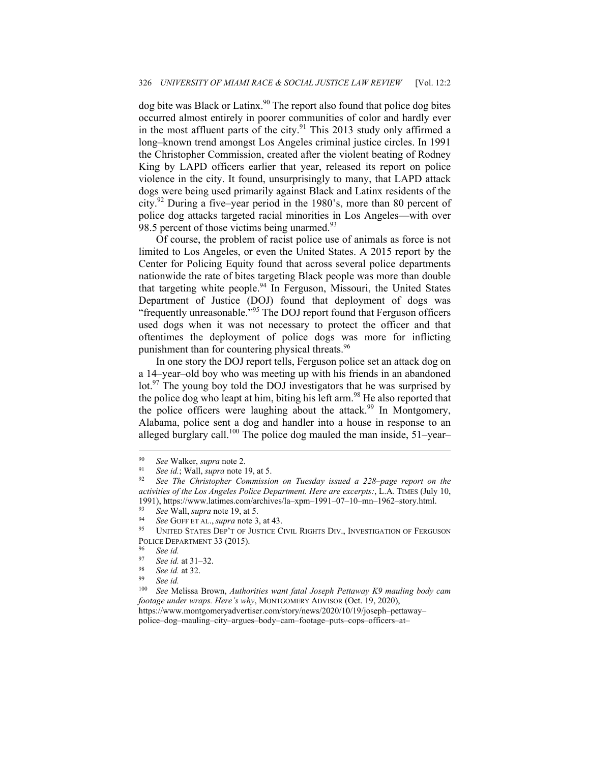dog bite was Black or Latinx.<sup>90</sup> The report also found that police dog bites occurred almost entirely in poorer communities of color and hardly ever in the most affluent parts of the city.<sup>91</sup> This 2013 study only affirmed a long–known trend amongst Los Angeles criminal justice circles. In 1991 the Christopher Commission, created after the violent beating of Rodney King by LAPD officers earlier that year, released its report on police violence in the city. It found, unsurprisingly to many, that LAPD attack dogs were being used primarily against Black and Latinx residents of the city.92 During a five–year period in the 1980's, more than 80 percent of police dog attacks targeted racial minorities in Los Angeles—with over 98.5 percent of those victims being unarmed.<sup>93</sup>

Of course, the problem of racist police use of animals as force is not limited to Los Angeles, or even the United States. A 2015 report by the Center for Policing Equity found that across several police departments nationwide the rate of bites targeting Black people was more than double that targeting white people.<sup>94</sup> In Ferguson, Missouri, the United States Department of Justice (DOJ) found that deployment of dogs was "frequently unreasonable."<sup>95</sup> The DOJ report found that Ferguson officers used dogs when it was not necessary to protect the officer and that oftentimes the deployment of police dogs was more for inflicting punishment than for countering physical threats.<sup>96</sup>

In one story the DOJ report tells, Ferguson police set an attack dog on a 14–year–old boy who was meeting up with his friends in an abandoned lot.<sup>97</sup> The young boy told the DOJ investigators that he was surprised by the police dog who leapt at him, biting his left arm.<sup>98</sup> He also reported that the police officers were laughing about the attack.<sup>99</sup> In Montgomery, Alabama, police sent a dog and handler into a house in response to an alleged burglary call.<sup>100</sup> The police dog mauled the man inside,  $51$ -year-

<sup>100</sup> *See* Melissa Brown, *Authorities want fatal Joseph Pettaway K9 mauling body cam footage under wraps. Here's why*, MONTGOMERY ADVISOR (Oct. 19, 2020), https://www.montgomeryadvertiser.com/story/news/2020/10/19/joseph–pettaway– police–dog–mauling–city–argues–body–cam–footage–puts–cops–officers–at–

<sup>90</sup> *See* Walker, *supra* note 2. 91 *See id.*; Wall, *supra* note 19, at 5. 92 *See The Christopher Commission on Tuesday issued a 228–page report on the activities of the Los Angeles Police Department. Here are excerpts:*, L.A. TIMES (July 10, 1991), https://www.latimes.com/archives/la–xpm–1991–07–10–mn–1962–story.html. 93 *See* Wall, *supra* note 19, at 5.

<sup>&</sup>lt;sup>94</sup> See GOFF ET AL., *supra* note 3, at 43.<br><sup>95</sup> UNITED STATES DEP'T OF JUSTICE CIVIL RIGHTS DIV., INVESTIGATION OF FERGUSON POLICE DEPARTMENT 33 (2015).<br><sup>96</sup> See id.<br><sup>97</sup> See id. at 31, 32

<sup>97</sup> *See id.* at 31–32. 98 *See id.* at 32. 99 *See id.*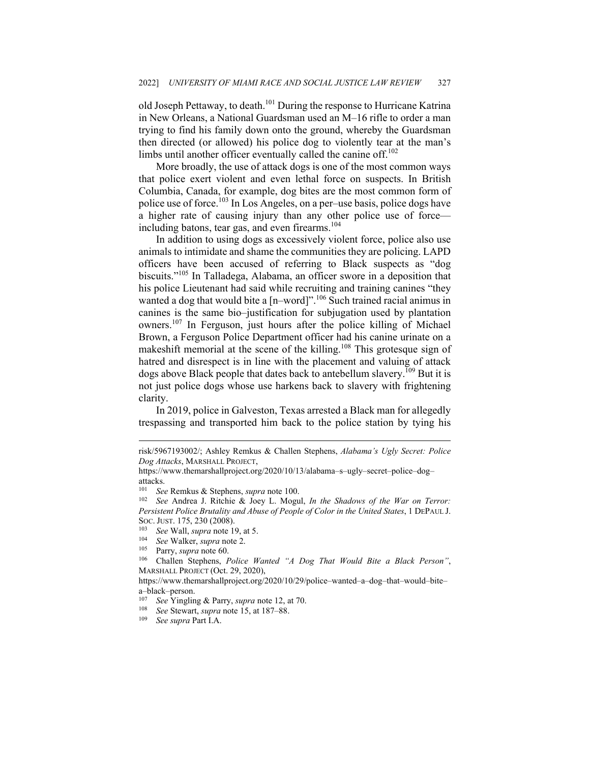old Joseph Pettaway, to death.<sup>101</sup> During the response to Hurricane Katrina in New Orleans, a National Guardsman used an M–16 rifle to order a man trying to find his family down onto the ground, whereby the Guardsman then directed (or allowed) his police dog to violently tear at the man's limbs until another officer eventually called the canine off.<sup>102</sup>

More broadly, the use of attack dogs is one of the most common ways that police exert violent and even lethal force on suspects. In British Columbia, Canada, for example, dog bites are the most common form of police use of force.<sup>103</sup> In Los Angeles, on a per–use basis, police dogs have a higher rate of causing injury than any other police use of force including batons, tear gas, and even firearms.<sup>104</sup>

In addition to using dogs as excessively violent force, police also use animals to intimidate and shame the communities they are policing. LAPD officers have been accused of referring to Black suspects as "dog biscuits."105 In Talladega, Alabama, an officer swore in a deposition that his police Lieutenant had said while recruiting and training canines "they wanted a dog that would bite a  $[n–word]$ ".<sup>106</sup> Such trained racial animus in canines is the same bio–justification for subjugation used by plantation owners.107 In Ferguson, just hours after the police killing of Michael Brown, a Ferguson Police Department officer had his canine urinate on a makeshift memorial at the scene of the killing.<sup>108</sup> This grotesque sign of hatred and disrespect is in line with the placement and valuing of attack dogs above Black people that dates back to antebellum slavery.<sup>109</sup> But it is not just police dogs whose use harkens back to slavery with frightening clarity.

In 2019, police in Galveston, Texas arrested a Black man for allegedly trespassing and transported him back to the police station by tying his

risk/5967193002/; Ashley Remkus & Challen Stephens, *Alabama's Ugly Secret: Police Dog Attacks*, MARSHALL PROJECT,

https://www.themarshallproject.org/2020/10/13/alabama–s–ugly–secret–police–dog– attacks.

<sup>&</sup>lt;sup>101</sup> See Remkus & Stephens, *supra* note 100.<br><sup>102</sup> See Andrea J. Ritchie & Joey L. Mogul, *In the Shadows of the War on Terror*: *Persistent Police Brutality and Abuse of People of Color in the United States*, 1 DEPAUL J. Soc. JUST. 175, 230 (2008).<br>
<sup>103</sup> See Wall, *supra* note 19, at 5.<br>
<sup>104</sup> See Walker, *supra* note 2.<br>
<sup>105</sup> Parry, *supra* note 60.<br>
<sup>106</sup> Challen Stephens, *Police Wanted "A Dog That Would Bite a Black Person"*,

MARSHALL PROJECT (Oct. 29, 2020),

https://www.themarshallproject.org/2020/10/29/police–wanted–a–dog–that–would–bite– a–black–person.

<sup>107</sup> *See* Yingling & Parry, *supra* note 12, at 70. 108 *See* Stewart, *supra* note 15, at 187–88. 109 *See supra* Part I.A.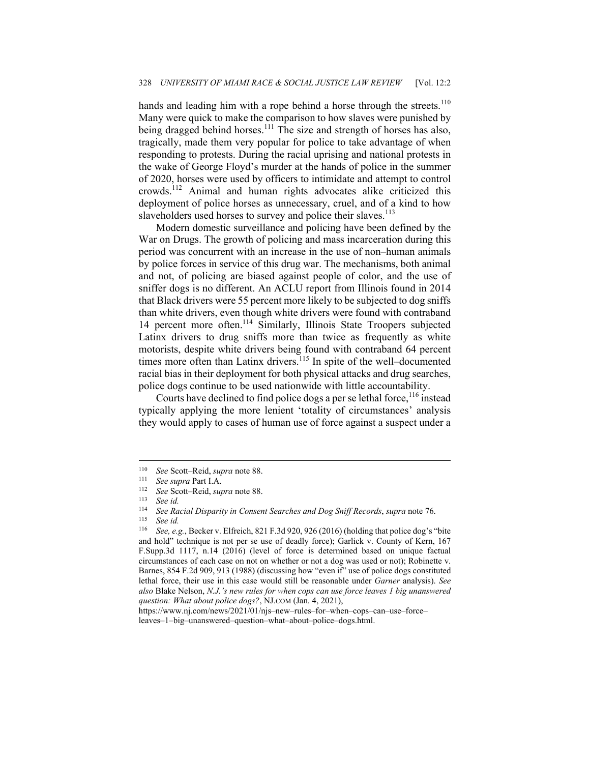hands and leading him with a rope behind a horse through the streets.<sup>110</sup> Many were quick to make the comparison to how slaves were punished by being dragged behind horses.<sup>111</sup> The size and strength of horses has also, tragically, made them very popular for police to take advantage of when responding to protests. During the racial uprising and national protests in the wake of George Floyd's murder at the hands of police in the summer of 2020, horses were used by officers to intimidate and attempt to control crowds.112 Animal and human rights advocates alike criticized this deployment of police horses as unnecessary, cruel, and of a kind to how slaveholders used horses to survey and police their slaves.<sup>113</sup>

Modern domestic surveillance and policing have been defined by the War on Drugs. The growth of policing and mass incarceration during this period was concurrent with an increase in the use of non–human animals by police forces in service of this drug war. The mechanisms, both animal and not, of policing are biased against people of color, and the use of sniffer dogs is no different. An ACLU report from Illinois found in 2014 that Black drivers were 55 percent more likely to be subjected to dog sniffs than white drivers, even though white drivers were found with contraband 14 percent more often.114 Similarly, Illinois State Troopers subjected Latinx drivers to drug sniffs more than twice as frequently as white motorists, despite white drivers being found with contraband 64 percent times more often than Latinx drivers.<sup>115</sup> In spite of the well–documented racial bias in their deployment for both physical attacks and drug searches, police dogs continue to be used nationwide with little accountability.

Courts have declined to find police dogs a per se lethal force,  $116$  instead typically applying the more lenient 'totality of circumstances' analysis they would apply to cases of human use of force against a suspect under a

https://www.nj.com/news/2021/01/njs–new–rules–for–when–cops–can–use–force– leaves–1–big–unanswered–question–what–about–police–dogs.html.

<sup>110</sup> *See* Scott–Reid, *supra* note 88. 111 *See supra* Part I.A. 112 *See* Scott–Reid, *supra* note 88. 113 *See id.* 

<sup>114</sup> *See Racial Disparity in Consent Searches and Dog Sniff Records*, *supra* note 76. 115 *See id.* 

<sup>116</sup> *See, e.g.*, Becker v. Elfreich, 821 F.3d 920, 926 (2016) (holding that police dog's "bite and hold" technique is not per se use of deadly force); Garlick v. County of Kern, 167 F.Supp.3d 1117, n.14 (2016) (level of force is determined based on unique factual circumstances of each case on not on whether or not a dog was used or not); Robinette v. Barnes, 854 F.2d 909, 913 (1988) (discussing how "even if" use of police dogs constituted lethal force, their use in this case would still be reasonable under *Garner* analysis). *See also* Blake Nelson, *N.J.'s new rules for when cops can use force leaves 1 big unanswered question: What about police dogs?*, NJ.COM (Jan. 4, 2021),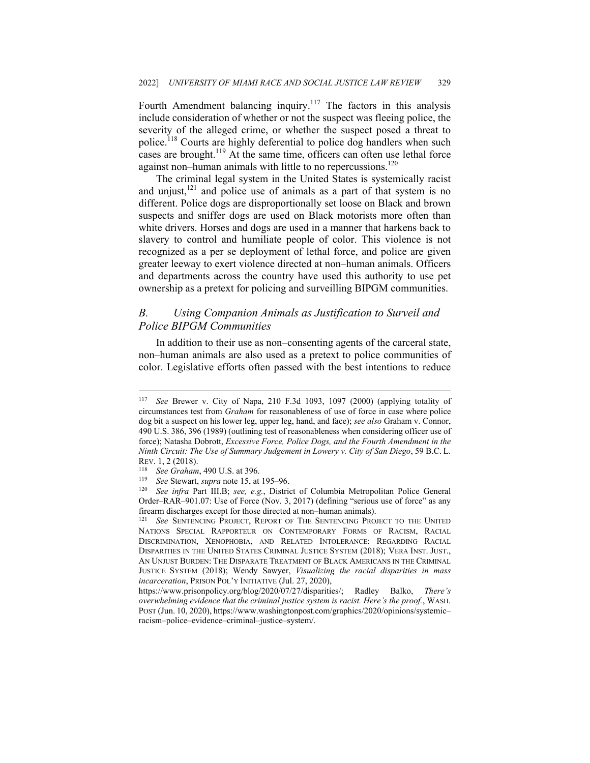Fourth Amendment balancing inquiry.<sup>117</sup> The factors in this analysis include consideration of whether or not the suspect was fleeing police, the severity of the alleged crime, or whether the suspect posed a threat to police.<sup>118</sup> Courts are highly deferential to police dog handlers when such cases are brought.<sup>119</sup> At the same time, officers can often use lethal force against non–human animals with little to no repercussions.<sup>120</sup>

The criminal legal system in the United States is systemically racist and unjust, $121$  and police use of animals as a part of that system is no different. Police dogs are disproportionally set loose on Black and brown suspects and sniffer dogs are used on Black motorists more often than white drivers. Horses and dogs are used in a manner that harkens back to slavery to control and humiliate people of color. This violence is not recognized as a per se deployment of lethal force, and police are given greater leeway to exert violence directed at non–human animals. Officers and departments across the country have used this authority to use pet ownership as a pretext for policing and surveilling BIPGM communities.

## *B. Using Companion Animals as Justification to Surveil and Police BIPGM Communities*

In addition to their use as non–consenting agents of the carceral state, non–human animals are also used as a pretext to police communities of color. Legislative efforts often passed with the best intentions to reduce

<sup>117</sup> *See* Brewer v. City of Napa, 210 F.3d 1093, 1097 (2000) (applying totality of circumstances test from *Graham* for reasonableness of use of force in case where police dog bit a suspect on his lower leg, upper leg, hand, and face); *see also* Graham v. Connor, 490 U.S. 386, 396 (1989) (outlining test of reasonableness when considering officer use of force); Natasha Dobrott, *Excessive Force, Police Dogs, and the Fourth Amendment in the Ninth Circuit: The Use of Summary Judgement in Lowery v. City of San Diego*, 59 B.C. L.

REV. 1, 2 (2018).<br><sup>118</sup> See Graham, 490 U.S. at 396.<br><sup>119</sup> See Stewart, *supra* note 15, at 195–96.<br><sup>120</sup> See infra Part III.B; *see, e.g.*, District of Columbia Metropolitan Police General Order–RAR–901.07: Use of Force (Nov. 3, 2017) (defining "serious use of force" as any firearm discharges except for those directed at non–human animals). 121 *See* SENTENCING PROJECT, REPORT OF THE SENTENCING PROJECT TO THE UNITED

NATIONS SPECIAL RAPPORTEUR ON CONTEMPORARY FORMS OF RACISM, RACIAL DISCRIMINATION, XENOPHOBIA, AND RELATED INTOLERANCE: REGARDING RACIAL DISPARITIES IN THE UNITED STATES CRIMINAL JUSTICE SYSTEM (2018); VERA INST. JUST., AN UNJUST BURDEN: THE DISPARATE TREATMENT OF BLACK AMERICANS IN THE CRIMINAL JUSTICE SYSTEM (2018); Wendy Sawyer, *Visualizing the racial disparities in mass incarceration*, PRISON POL'Y INITIATIVE (Jul. 27, 2020),

https://www.prisonpolicy.org/blog/2020/07/27/disparities/; Radley Balko, *There's overwhelming evidence that the criminal justice system is racist. Here's the proof.*, WASH. POST (Jun. 10, 2020), https://www.washingtonpost.com/graphics/2020/opinions/systemic– racism–police–evidence–criminal–justice–system/.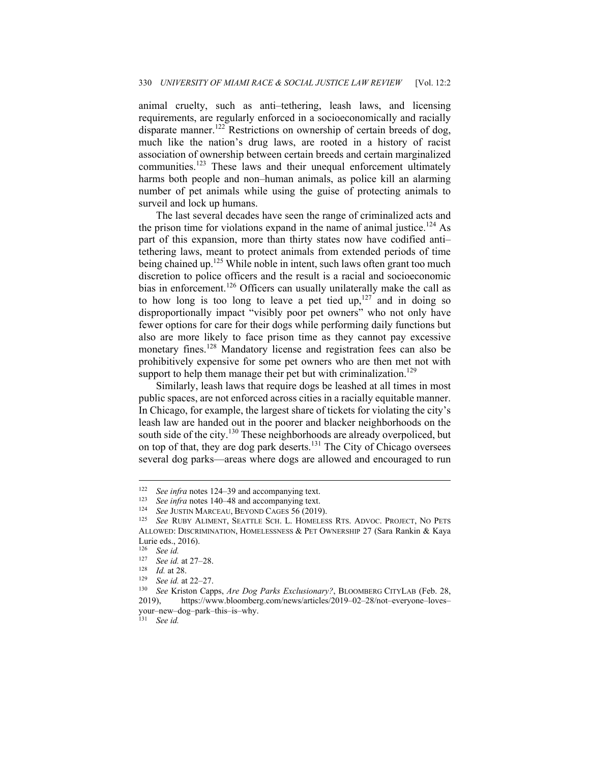animal cruelty, such as anti–tethering, leash laws, and licensing requirements, are regularly enforced in a socioeconomically and racially disparate manner.<sup>122</sup> Restrictions on ownership of certain breeds of dog, much like the nation's drug laws, are rooted in a history of racist association of ownership between certain breeds and certain marginalized communities.<sup>123</sup> These laws and their unequal enforcement ultimately harms both people and non–human animals, as police kill an alarming number of pet animals while using the guise of protecting animals to surveil and lock up humans.

The last several decades have seen the range of criminalized acts and the prison time for violations expand in the name of animal justice.<sup>124</sup> As part of this expansion, more than thirty states now have codified anti– tethering laws, meant to protect animals from extended periods of time being chained up.<sup>125</sup> While noble in intent, such laws often grant too much discretion to police officers and the result is a racial and socioeconomic bias in enforcement.<sup>126</sup> Officers can usually unilaterally make the call as to how long is too long to leave a pet tied  $up, <sup>127</sup>$  and in doing so disproportionally impact "visibly poor pet owners" who not only have fewer options for care for their dogs while performing daily functions but also are more likely to face prison time as they cannot pay excessive monetary fines.<sup>128</sup> Mandatory license and registration fees can also be prohibitively expensive for some pet owners who are then met not with support to help them manage their pet but with criminalization.<sup>129</sup>

Similarly, leash laws that require dogs be leashed at all times in most public spaces, are not enforced across cities in a racially equitable manner. In Chicago, for example, the largest share of tickets for violating the city's leash law are handed out in the poorer and blacker neighborhoods on the south side of the city.<sup>130</sup> These neighborhoods are already overpoliced, but on top of that, they are dog park deserts.<sup>131</sup> The City of Chicago oversees several dog parks—areas where dogs are allowed and encouraged to run

<sup>&</sup>lt;sup>122</sup> See infra notes 124–39 and accompanying text.<br>
<sup>123</sup> See infra notes 140–48 and accompanying text.<br>
<sup>124</sup> See JUSTIN MARCEAU, BEYOND CAGES 56 (2019).<br>
<sup>125</sup> See RUBY ALIMENT, SEATTLE SCH. L. HOMELESS RTS. ADVOC. PRO ALLOWED: DISCRIMINATION, HOMELESSNESS & PET OWNERSHIP 27 (Sara Rankin & Kaya Lurie eds., 2016).

<sup>126</sup> *See id.*

<sup>127</sup> See id. at 27–28.<br>
128 Id. at 28.<br>
129 See id. at 22–27.<br>
130 See Kriston Capps, *Are Dog Parks Exclusionary?*, BLOOMBERG CITYLAB (Feb. 28, 2019), https://www.bloomberg.com/news/articles/2019–02–28/not–everyone–loves– your–new–dog–park–this–is–why.

<sup>131</sup> *See id.*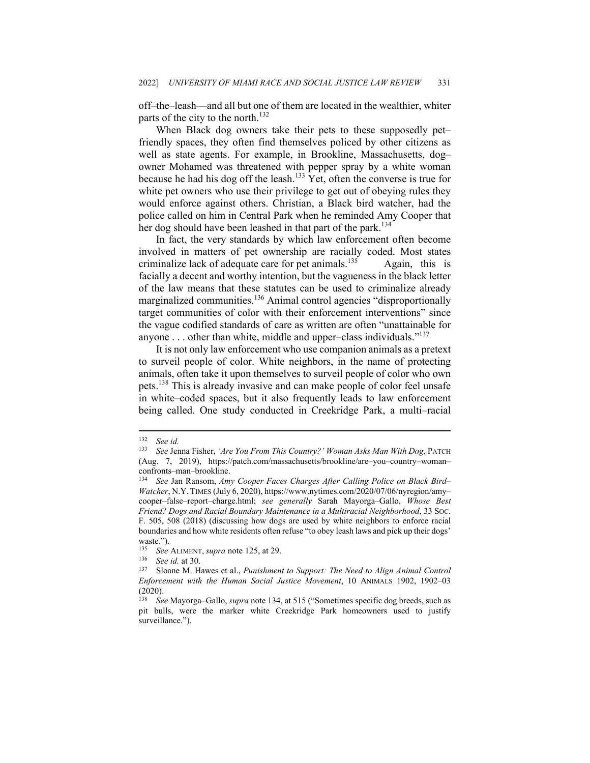off–the–leash—and all but one of them are located in the wealthier, whiter parts of the city to the north.<sup>132</sup>

When Black dog owners take their pets to these supposedly petfriendly spaces, they often find themselves policed by other citizens as well as state agents. For example, in Brookline, Massachusetts, dog– owner Mohamed was threatened with pepper spray by a white woman because he had his dog off the leash.<sup>133</sup> Yet, often the converse is true for white pet owners who use their privilege to get out of obeying rules they would enforce against others. Christian, a Black bird watcher, had the police called on him in Central Park when he reminded Amy Cooper that her dog should have been leashed in that part of the park.<sup>134</sup>

In fact, the very standards by which law enforcement often become involved in matters of pet ownership are racially coded. Most states criminalize lack of adequate care for pet animals.<sup>135</sup> Again, this is facially a decent and worthy intention, but the vagueness in the black letter of the law means that these statutes can be used to criminalize already marginalized communities.<sup>136</sup> Animal control agencies "disproportionally target communities of color with their enforcement interventions" since the vague codified standards of care as written are often "unattainable for anyone  $\dots$  other than white, middle and upper–class individuals."<sup>137</sup>

It is not only law enforcement who use companion animals as a pretext to surveil people of color. White neighbors, in the name of protecting animals, often take it upon themselves to surveil people of color who own pets.<sup>138</sup> This is already invasive and can make people of color feel unsafe in white–coded spaces, but it also frequently leads to law enforcement being called. One study conducted in Creekridge Park, a multi–racial

<sup>132</sup> *See id.*

<sup>133</sup> *See* Jenna Fisher, *'Are You From This Country?' Woman Asks Man With Dog*, PATCH (Aug. 7, 2019), https://patch.com/massachusetts/brookline/are–you–country–woman– confronts–man–brookline.

<sup>134</sup> *See* Jan Ransom, *Amy Cooper Faces Charges After Calling Police on Black Bird– Watcher*, N.Y.TIMES (July 6, 2020), https://www.nytimes.com/2020/07/06/nyregion/amy– cooper–false–report–charge.html; *see generally* Sarah Mayorga–Gallo, *Whose Best Friend? Dogs and Racial Boundary Maintenance in a Multiracial Neighborhood*, 33 SOC. F. 505, 508 (2018) (discussing how dogs are used by white neighbors to enforce racial boundaries and how white residents often refuse "to obey leash laws and pick up their dogs' waste.").

<sup>&</sup>lt;sup>135</sup> See ALIMENT, *supra* note 125, at 29.<br><sup>136</sup> See id. at 30

<sup>&</sup>lt;sup>136</sup> See id. at 30.<br><sup>137</sup> Sloane M. Hawes et al., *Punishment to Support: The Need to Align Animal Control Enforcement with the Human Social Justice Movement*, 10 ANIMALS 1902, 1902–03 (2020).

<sup>138</sup> *See* Mayorga–Gallo, *supra* note 134, at 515 ("Sometimes specific dog breeds, such as pit bulls, were the marker white Creekridge Park homeowners used to justify surveillance.").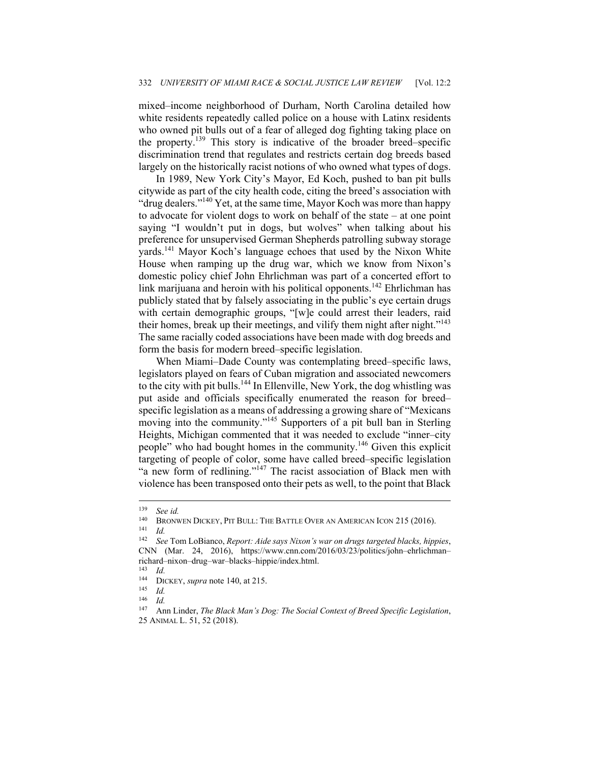mixed–income neighborhood of Durham, North Carolina detailed how white residents repeatedly called police on a house with Latinx residents who owned pit bulls out of a fear of alleged dog fighting taking place on the property.139 This story is indicative of the broader breed–specific discrimination trend that regulates and restricts certain dog breeds based largely on the historically racist notions of who owned what types of dogs.

In 1989, New York City's Mayor, Ed Koch, pushed to ban pit bulls citywide as part of the city health code, citing the breed's association with "drug dealers."<sup>140</sup> Yet, at the same time, Mayor Koch was more than happy to advocate for violent dogs to work on behalf of the state – at one point saying "I wouldn't put in dogs, but wolves" when talking about his preference for unsupervised German Shepherds patrolling subway storage yards.141 Mayor Koch's language echoes that used by the Nixon White House when ramping up the drug war, which we know from Nixon's domestic policy chief John Ehrlichman was part of a concerted effort to link marijuana and heroin with his political opponents.<sup>142</sup> Ehrlichman has publicly stated that by falsely associating in the public's eye certain drugs with certain demographic groups, "[w]e could arrest their leaders, raid their homes, break up their meetings, and vilify them night after night."<sup>143</sup> The same racially coded associations have been made with dog breeds and form the basis for modern breed–specific legislation.

When Miami–Dade County was contemplating breed–specific laws, legislators played on fears of Cuban migration and associated newcomers to the city with pit bulls.144 In Ellenville, New York, the dog whistling was put aside and officials specifically enumerated the reason for breed– specific legislation as a means of addressing a growing share of "Mexicans moving into the community."<sup>145</sup> Supporters of a pit bull ban in Sterling Heights, Michigan commented that it was needed to exclude "inner–city people" who had bought homes in the community.146 Given this explicit targeting of people of color, some have called breed–specific legislation "a new form of redlining."<sup>147</sup> The racist association of Black men with violence has been transposed onto their pets as well, to the point that Black

<sup>139</sup> *See id.*

<sup>&</sup>lt;sup>140</sup> BRONWEN DICKEY, PIT BULL: THE BATTLE OVER AN AMERICAN ICON 215 (2016).<br><sup>141</sup> Id. *See* Tom LoBianco *Report: Aide says Nixon's war on drugs targeted blacks him* 

<sup>142</sup> *See* Tom LoBianco, *Report: Aide says Nixon's war on drugs targeted blacks, hippies*, CNN (Mar. 24, 2016), https://www.cnn.com/2016/03/23/politics/john–ehrlichman– richard–nixon–drug–war–blacks–hippie/index.html.

 $\frac{143}{144}$  *Id.* 

<sup>144</sup> DICKEY, *supra* note 140, at 215. 145 *Id.* 

 $\frac{146}{147}$  *Id.* 

<sup>147</sup> Ann Linder, *The Black Man's Dog: The Social Context of Breed Specific Legislation*, 25 ANIMAL L. 51, 52 (2018).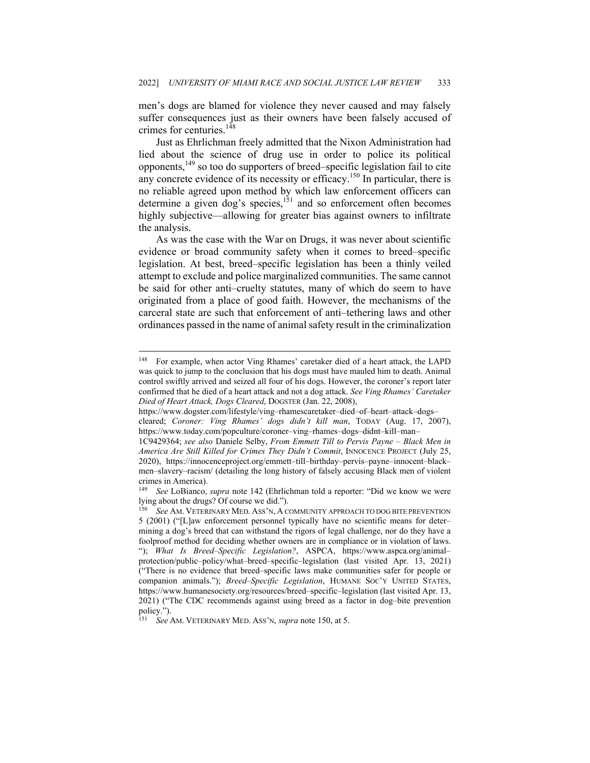men's dogs are blamed for violence they never caused and may falsely suffer consequences just as their owners have been falsely accused of crimes for centuries.<sup>148</sup>

Just as Ehrlichman freely admitted that the Nixon Administration had lied about the science of drug use in order to police its political opponents,149 so too do supporters of breed–specific legislation fail to cite any concrete evidence of its necessity or efficacy.<sup>150</sup> In particular, there is no reliable agreed upon method by which law enforcement officers can determine a given dog's species,<sup>151</sup> and so enforcement often becomes highly subjective—allowing for greater bias against owners to infiltrate the analysis.

As was the case with the War on Drugs, it was never about scientific evidence or broad community safety when it comes to breed–specific legislation. At best, breed–specific legislation has been a thinly veiled attempt to exclude and police marginalized communities. The same cannot be said for other anti–cruelty statutes, many of which do seem to have originated from a place of good faith. However, the mechanisms of the carceral state are such that enforcement of anti–tethering laws and other ordinances passed in the name of animal safety result in the criminalization

<sup>148</sup> For example, when actor Ving Rhames' caretaker died of a heart attack, the LAPD was quick to jump to the conclusion that his dogs must have mauled him to death. Animal control swiftly arrived and seized all four of his dogs. However, the coroner's report later confirmed that he died of a heart attack and not a dog attack. *See Ving Rhames' Caretaker Died of Heart Attack, Dogs Cleared*, DOGSTER (Jan. 22, 2008),

https://www.dogster.com/lifestyle/ving–rhamescaretaker–died–of–heart–attack–dogs–

cleared; *Coroner: Ving Rhames' dogs didn't kill man*, TODAY (Aug. 17, 2007), https://www.today.com/popculture/coroner–ving–rhames–dogs–didnt–kill–man–

<sup>1</sup>C9429364; *see also* Daniele Selby, *From Emmett Till to Pervis Payne – Black Men in America Are Still Killed for Crimes They Didn't Commit*, INNOCENCE PROJECT (July 25, 2020), https://innocenceproject.org/emmett–till–birthday–pervis–payne–innocent–black– men–slavery–racism/ (detailing the long history of falsely accusing Black men of violent crimes in America).

<sup>149</sup> *See* LoBianco, *supra* note 142 (Ehrlichman told a reporter: "Did we know we were lying about the drugs? Of course we did.").

<sup>150</sup> *See* AM. VETERINARY MED. ASS'N, A COMMUNITY APPROACH TO DOG BITE PREVENTION 5 (2001) ("[L]aw enforcement personnel typically have no scientific means for deter– mining a dog's breed that can withstand the rigors of legal challenge, nor do they have a foolproof method for deciding whether owners are in compliance or in violation of laws. "); *What Is Breed–Specific Legislation?*, ASPCA, https://www.aspca.org/animal– protection/public–policy/what–breed–specific–legislation (last visited Apr. 13, 2021) ("There is no evidence that breed–specific laws make communities safer for people or companion animals."); *Breed–Specific Legislation*, HUMANE SOC'Y UNITED STATES, https://www.humanesociety.org/resources/breed–specific–legislation (last visited Apr. 13, 2021) ("The CDC recommends against using breed as a factor in dog–bite prevention policy.").

<sup>151</sup> *See* AM. VETERINARY MED. ASS'N, *supra* note 150, at 5.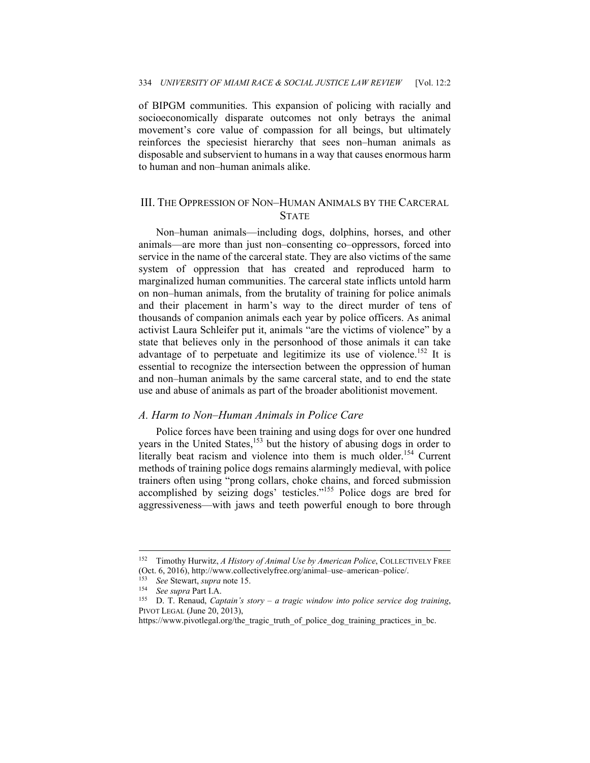of BIPGM communities. This expansion of policing with racially and socioeconomically disparate outcomes not only betrays the animal movement's core value of compassion for all beings, but ultimately reinforces the speciesist hierarchy that sees non–human animals as disposable and subservient to humans in a way that causes enormous harm to human and non–human animals alike.

#### III. THE OPPRESSION OF NON–HUMAN ANIMALS BY THE CARCERAL **STATE**

Non–human animals—including dogs, dolphins, horses, and other animals—are more than just non–consenting co–oppressors, forced into service in the name of the carceral state. They are also victims of the same system of oppression that has created and reproduced harm to marginalized human communities. The carceral state inflicts untold harm on non–human animals, from the brutality of training for police animals and their placement in harm's way to the direct murder of tens of thousands of companion animals each year by police officers. As animal activist Laura Schleifer put it, animals "are the victims of violence" by a state that believes only in the personhood of those animals it can take advantage of to perpetuate and legitimize its use of violence.<sup>152</sup> It is essential to recognize the intersection between the oppression of human and non–human animals by the same carceral state, and to end the state use and abuse of animals as part of the broader abolitionist movement.

#### *A. Harm to Non–Human Animals in Police Care*

Police forces have been training and using dogs for over one hundred years in the United States,<sup>153</sup> but the history of abusing dogs in order to literally beat racism and violence into them is much older.<sup>154</sup> Current methods of training police dogs remains alarmingly medieval, with police trainers often using "prong collars, choke chains, and forced submission accomplished by seizing dogs' testicles."155 Police dogs are bred for aggressiveness—with jaws and teeth powerful enough to bore through

<sup>152</sup> Timothy Hurwitz, *A History of Animal Use by American Police*, COLLECTIVELY FREE (Oct. 6, 2016), http://www.collectivelyfree.org/animal-use-american-police/.<br>
<sup>153</sup> See Stewart, *supra* note 15.<br>
<sup>154</sup> See *supra* Part I.A.<br>
<sup>155</sup> D. T. Renaud, *Captain's story – a tragic window into police service do* 

PIVOT LEGAL (June 20, 2013),

https://www.pivotlegal.org/the\_tragic\_truth\_of\_police\_dog\_training\_practices\_in\_bc.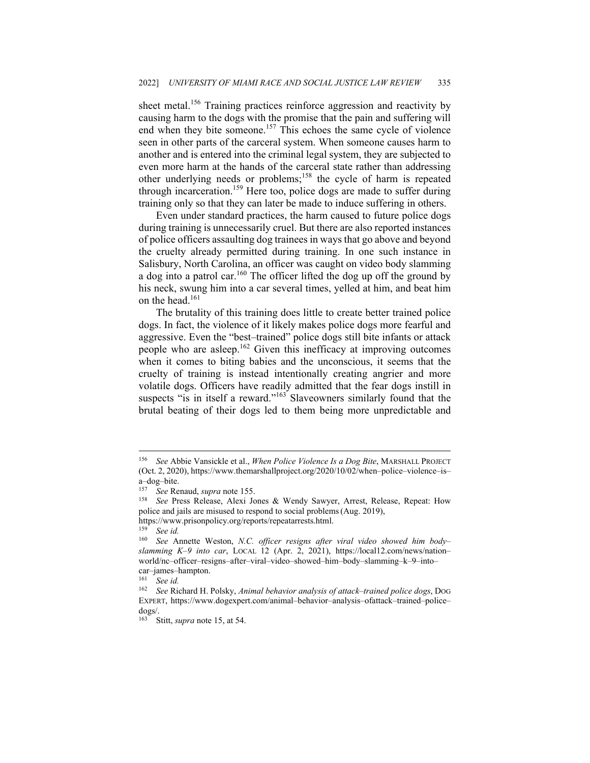sheet metal.<sup>156</sup> Training practices reinforce aggression and reactivity by causing harm to the dogs with the promise that the pain and suffering will end when they bite someone.<sup>157</sup> This echoes the same cycle of violence seen in other parts of the carceral system. When someone causes harm to another and is entered into the criminal legal system, they are subjected to even more harm at the hands of the carceral state rather than addressing other underlying needs or problems;158 the cycle of harm is repeated through incarceration.<sup>159</sup> Here too, police dogs are made to suffer during training only so that they can later be made to induce suffering in others.

Even under standard practices, the harm caused to future police dogs during training is unnecessarily cruel. But there are also reported instances of police officers assaulting dog trainees in ways that go above and beyond the cruelty already permitted during training. In one such instance in Salisbury, North Carolina, an officer was caught on video body slamming a dog into a patrol car.<sup>160</sup> The officer lifted the dog up off the ground by his neck, swung him into a car several times, yelled at him, and beat him on the head.<sup>161</sup>

The brutality of this training does little to create better trained police dogs. In fact, the violence of it likely makes police dogs more fearful and aggressive. Even the "best–trained" police dogs still bite infants or attack people who are asleep.162 Given this inefficacy at improving outcomes when it comes to biting babies and the unconscious, it seems that the cruelty of training is instead intentionally creating angrier and more volatile dogs. Officers have readily admitted that the fear dogs instill in suspects "is in itself a reward."<sup>163</sup> Slaveowners similarly found that the brutal beating of their dogs led to them being more unpredictable and

<sup>156</sup> *See* Abbie Vansickle et al., *When Police Violence Is a Dog Bite*, MARSHALL PROJECT (Oct. 2, 2020), https://www.themarshallproject.org/2020/10/02/when–police–violence–is– a–dog–bite.

<sup>&</sup>lt;sup>157</sup> See Renaud, *supra* note 155.<br><sup>158</sup> See Press Release, Alexi Jones & Wendy Sawyer, Arrest, Release, Repeat: How police and jails are misused to respond to social problems(Aug. 2019),

https://www.prisonpolicy.org/reports/repeatarrests.html.<br>159 Sea id

<sup>159</sup> *See id.* 

<sup>160</sup> *See* Annette Weston, *N.C. officer resigns after viral video showed him body– slamming K–9 into car*, LOCAL 12 (Apr. 2, 2021), https://local12.com/news/nation– world/nc–officer–resigns–after–viral–video–showed–him–body–slamming–k–9–into– car–james–hampton.

<sup>161</sup> *See id.* 

<sup>162</sup> *See* Richard H. Polsky, *Animal behavior analysis of attack–trained police dogs*, DOG EXPERT, https://www.dogexpert.com/animal–behavior–analysis–ofattack–trained–police– dogs/.

<sup>163</sup> Stitt, *supra* note 15, at 54.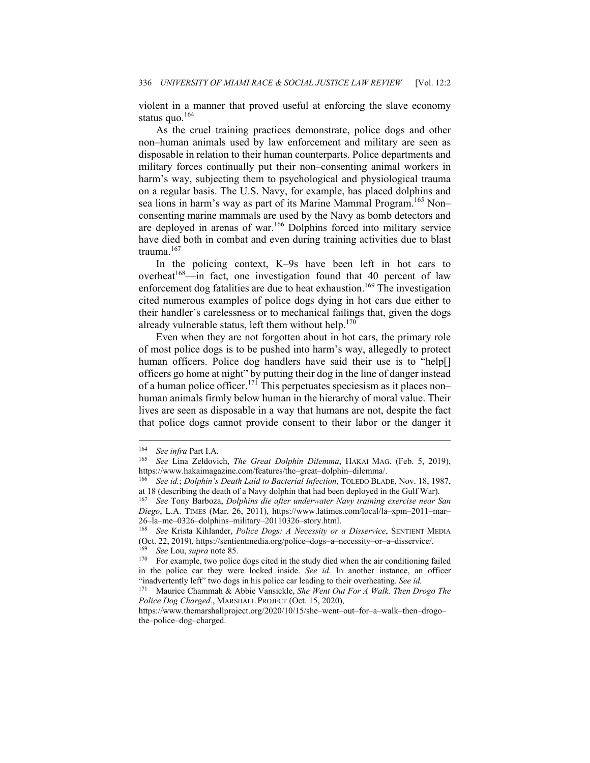violent in a manner that proved useful at enforcing the slave economy status quo.<sup>164</sup>

As the cruel training practices demonstrate, police dogs and other non–human animals used by law enforcement and military are seen as disposable in relation to their human counterparts. Police departments and military forces continually put their non–consenting animal workers in harm's way, subjecting them to psychological and physiological trauma on a regular basis. The U.S. Navy, for example, has placed dolphins and sea lions in harm's way as part of its Marine Mammal Program.<sup>165</sup> Non– consenting marine mammals are used by the Navy as bomb detectors and are deployed in arenas of war.166 Dolphins forced into military service have died both in combat and even during training activities due to blast trauma.<sup>167</sup>

In the policing context, K–9s have been left in hot cars to overheat<sup>168</sup>—in fact, one investigation found that 40 percent of law enforcement dog fatalities are due to heat exhaustion.<sup>169</sup> The investigation cited numerous examples of police dogs dying in hot cars due either to their handler's carelessness or to mechanical failings that, given the dogs already vulnerable status, left them without help. $170$ 

Even when they are not forgotten about in hot cars, the primary role of most police dogs is to be pushed into harm's way, allegedly to protect human officers. Police dog handlers have said their use is to "help[] officers go home at night" by putting their dog in the line of danger instead of a human police officer.<sup>171</sup> This perpetuates speciesism as it places non– human animals firmly below human in the hierarchy of moral value. Their lives are seen as disposable in a way that humans are not, despite the fact that police dogs cannot provide consent to their labor or the danger it

<sup>&</sup>lt;sup>164</sup> See infra Part I.A.<br><sup>165</sup> See Lina Zeldovich, *The Great Dolphin Dilemma*, HAKAI MAG. (Feb. 5, 2019), https://www.hakaimagazine.com/features/the-great-dolphin-dilemma/.

See id.; *Dolphin's Death Laid to Bacterial Infection*, TOLEDO BLADE, Nov. 18, 1987, at 18 (describing the death of a Navy dolphin that had been deployed in the Gulf War). 167 *See* Tony Barboza, *Dolphins die after underwater Navy training exercise near San* 

*Diego*, L.A. TIMES (Mar. 26, 2011), https://www.latimes.com/local/la–xpm–2011–mar–

<sup>26–</sup>la–me–0326–dolphins–military–20110326–story.html. 168 *See* Krista Kihlander, *Police Dogs: A Necessity or a Disservice*, SENTIENT MEDIA (Oct. 22, 2019), https://sentientmedia.org/police–dogs–a–necessity–or–a–disservice/.

<sup>&</sup>lt;sup>169</sup> See Lou, *supra* note 85.<br><sup>170</sup> For example, two police dogs cited in the study died when the air conditioning failed in the police car they were locked inside. *See id.* In another instance, an officer "inadvertently left" two dogs in his police car leading to their overheating. *See id.* 

Maurice Chammah & Abbie Vansickle, *She Went Out For A Walk. Then Drogo The Police Dog Charged.*, MARSHALL PROJECT (Oct. 15, 2020),

https://www.themarshallproject.org/2020/10/15/she–went–out–for–a–walk–then–drogo– the–police–dog–charged.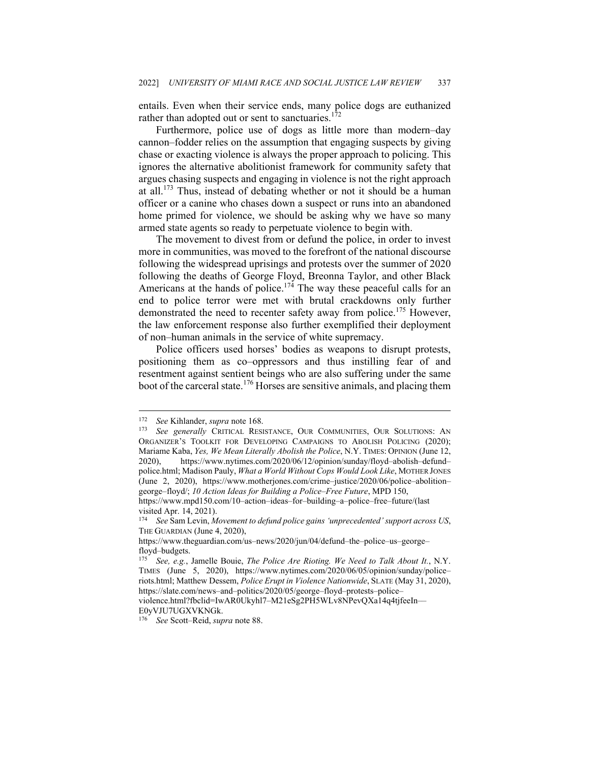entails. Even when their service ends, many police dogs are euthanized rather than adopted out or sent to sanctuaries.<sup>172</sup>

Furthermore, police use of dogs as little more than modern–day cannon–fodder relies on the assumption that engaging suspects by giving chase or exacting violence is always the proper approach to policing. This ignores the alternative abolitionist framework for community safety that argues chasing suspects and engaging in violence is not the right approach at all.173 Thus, instead of debating whether or not it should be a human officer or a canine who chases down a suspect or runs into an abandoned home primed for violence, we should be asking why we have so many armed state agents so ready to perpetuate violence to begin with.

The movement to divest from or defund the police, in order to invest more in communities, was moved to the forefront of the national discourse following the widespread uprisings and protests over the summer of 2020 following the deaths of George Floyd, Breonna Taylor, and other Black Americans at the hands of police.<sup>174</sup> The way these peaceful calls for an end to police terror were met with brutal crackdowns only further demonstrated the need to recenter safety away from police.<sup>175</sup> However, the law enforcement response also further exemplified their deployment of non–human animals in the service of white supremacy.

Police officers used horses' bodies as weapons to disrupt protests, positioning them as co–oppressors and thus instilling fear of and resentment against sentient beings who are also suffering under the same boot of the carceral state.<sup>176</sup> Horses are sensitive animals, and placing them

<sup>172</sup> *See* Kihlander, *supra* note 168. 173 *See generally* CRITICAL RESISTANCE, OUR COMMUNITIES, OUR SOLUTIONS: AN ORGANIZER'S TOOLKIT FOR DEVELOPING CAMPAIGNS TO ABOLISH POLICING (2020); Mariame Kaba, *Yes, We Mean Literally Abolish the Police*, N.Y. TIMES: OPINION (June 12, 2020), https://www.nytimes.com/2020/06/12/opinion/sunday/floyd–abolish–defund– police.html; Madison Pauly, *What a World Without Cops Would Look Like*, MOTHER JONES (June 2, 2020), https://www.motherjones.com/crime–justice/2020/06/police–abolition– george–floyd/; *10 Action Ideas for Building a Police–Free Future*, MPD 150, https://www.mpd150.com/10–action–ideas–for–building–a–police–free–future/(last

visited Apr. 14, 2021).

<sup>174</sup> *See* Sam Levin, *Movement to defund police gains 'unprecedented' support across US*, THE GUARDIAN (June 4, 2020),

https://www.theguardian.com/us–news/2020/jun/04/defund–the–police–us–george– floyd–budgets.

<sup>175</sup> *See, e.g.*, Jamelle Bouie, *The Police Are Rioting. We Need to Talk About It.*, N.Y. TIMES (June 5, 2020), https://www.nytimes.com/2020/06/05/opinion/sunday/police– riots.html; Matthew Dessem, *Police Erupt in Violence Nationwide*, SLATE (May 31, 2020), https://slate.com/news–and–politics/2020/05/george–floyd–protests–police– violence.html?fbclid=IwAR0Ukyhl7–M21eSg2PH5WLv8NPevQXa14q4tjfeeIn–– E0yVJU7UGXVKNGk.

<sup>176</sup> *See* Scott–Reid, *supra* note 88.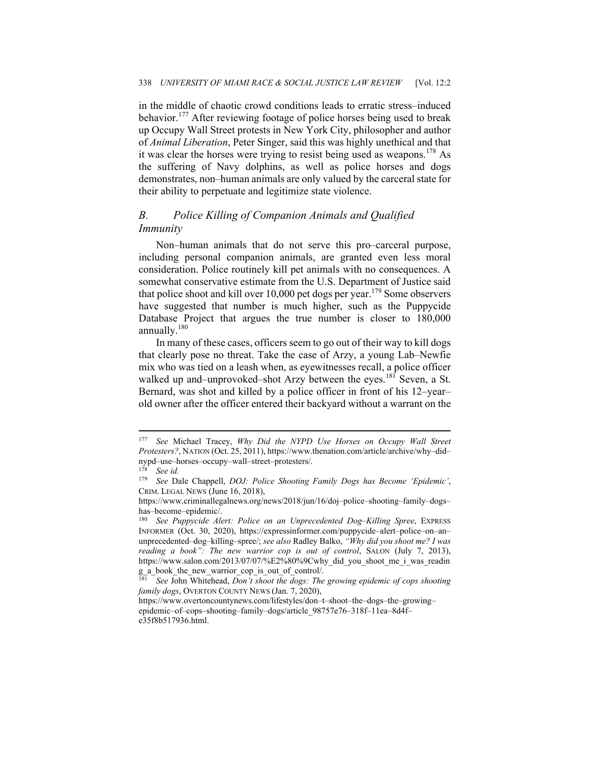in the middle of chaotic crowd conditions leads to erratic stress–induced behavior.177 After reviewing footage of police horses being used to break up Occupy Wall Street protests in New York City, philosopher and author of *Animal Liberation*, Peter Singer, said this was highly unethical and that it was clear the horses were trying to resist being used as weapons.<sup>178</sup> As the suffering of Navy dolphins, as well as police horses and dogs demonstrates, non–human animals are only valued by the carceral state for their ability to perpetuate and legitimize state violence.

## *B. Police Killing of Companion Animals and Qualified Immunity*

Non–human animals that do not serve this pro–carceral purpose, including personal companion animals, are granted even less moral consideration. Police routinely kill pet animals with no consequences. A somewhat conservative estimate from the U.S. Department of Justice said that police shoot and kill over 10,000 pet dogs per year.<sup>179</sup> Some observers have suggested that number is much higher, such as the Puppycide Database Project that argues the true number is closer to 180,000 annually.<sup>180</sup>

In many of these cases, officers seem to go out of their way to kill dogs that clearly pose no threat. Take the case of Arzy, a young Lab–Newfie mix who was tied on a leash when, as eyewitnesses recall, a police officer walked up and–unprovoked–shot Arzy between the eyes.<sup>181</sup> Seven, a St. Bernard, was shot and killed by a police officer in front of his 12–year– old owner after the officer entered their backyard without a warrant on the

<sup>177</sup> *See* Michael Tracey, *Why Did the NYPD Use Horses on Occupy Wall Street Protesters?*, NATION (Oct. 25, 2011), https://www.thenation.com/article/archive/why–did– nypd–use–horses–occupy–wall–street–protesters/.

<sup>178</sup> *See id.* 

<sup>179</sup> *See* Dale Chappell, *DOJ: Police Shooting Family Dogs has Become 'Epidemic'*, CRIM. LEGAL NEWS (June 16, 2018),

https://www.criminallegalnews.org/news/2018/jun/16/doj–police–shooting–family–dogs– has–become–epidemic/.

<sup>180</sup> *See Puppycide Alert: Police on an Unprecedented Dog–Killing Spree*, EXPRESS INFORMER (Oct. 30, 2020), https://expressinformer.com/puppycide–alert–police–on–an– unprecedented–dog–killing–spree/; *see also* Radley Balko, *"Why did you shoot me? I was reading a book": The new warrior cop is out of control*, SALON (July 7, 2013), https://www.salon.com/2013/07/07/%E2%80%9Cwhy\_did\_you\_shoot\_me\_i\_was\_readin g a book the new warrior cop is out of control/.

See John Whitehead, *Don't shoot the dogs: The growing epidemic of cops shooting family dogs*, OVERTON COUNTY NEWS (Jan. 7, 2020),

https://www.overtoncountynews.com/lifestyles/don–t–shoot–the–dogs–the–growing– epidemic–of–cops–shooting–family–dogs/article\_98757e76–318f–11ea–8d4f– e35f8b517936.html.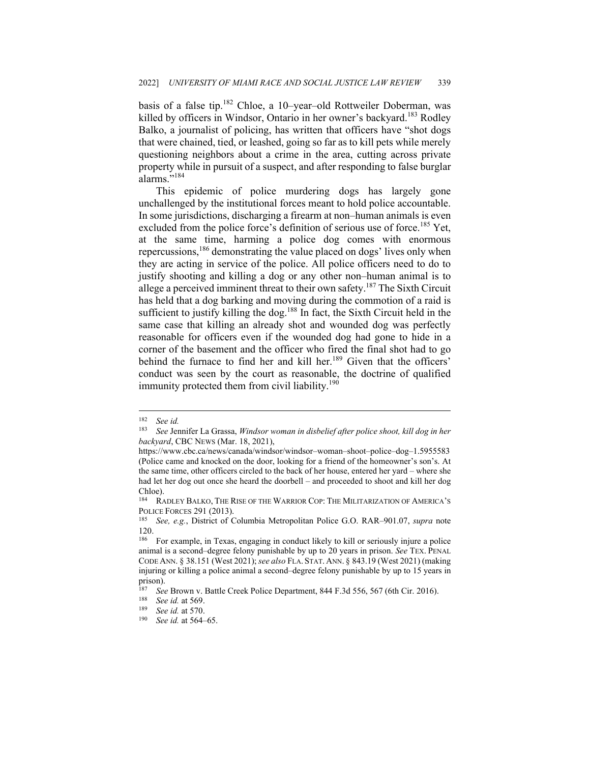basis of a false tip.182 Chloe, a 10–year–old Rottweiler Doberman, was killed by officers in Windsor, Ontario in her owner's backyard.<sup>183</sup> Rodley Balko, a journalist of policing, has written that officers have "shot dogs that were chained, tied, or leashed, going so far as to kill pets while merely questioning neighbors about a crime in the area, cutting across private property while in pursuit of a suspect, and after responding to false burglar alarms."<sup>184</sup>

This epidemic of police murdering dogs has largely gone unchallenged by the institutional forces meant to hold police accountable. In some jurisdictions, discharging a firearm at non–human animals is even excluded from the police force's definition of serious use of force.<sup>185</sup> Yet, at the same time, harming a police dog comes with enormous repercussions,<sup>186</sup> demonstrating the value placed on dogs' lives only when they are acting in service of the police. All police officers need to do to justify shooting and killing a dog or any other non–human animal is to allege a perceived imminent threat to their own safety.<sup>187</sup> The Sixth Circuit has held that a dog barking and moving during the commotion of a raid is sufficient to justify killing the dog.<sup>188</sup> In fact, the Sixth Circuit held in the same case that killing an already shot and wounded dog was perfectly reasonable for officers even if the wounded dog had gone to hide in a corner of the basement and the officer who fired the final shot had to go behind the furnace to find her and kill her.<sup>189</sup> Given that the officers' conduct was seen by the court as reasonable, the doctrine of qualified immunity protected them from civil liability.<sup>190</sup>

<sup>182</sup> *See id.* 

<sup>183</sup> *See* Jennifer La Grassa, *Windsor woman in disbelief after police shoot, kill dog in her backyard*, CBC NEWS (Mar. 18, 2021),

https://www.cbc.ca/news/canada/windsor/windsor–woman–shoot–police–dog–1.5955583 (Police came and knocked on the door, looking for a friend of the homeowner's son's. At the same time, other officers circled to the back of her house, entered her yard – where she had let her dog out once she heard the doorbell – and proceeded to shoot and kill her dog Chloe).

<sup>184</sup> RADLEY BALKO, THE RISE OF THE WARRIOR COP: THE MILITARIZATION OF AMERICA'S POLICE FORCES 291 (2013). 185 *See, e.g.*, District of Columbia Metropolitan Police G.O. RAR–901.07, *supra* note

 $\begin{array}{l} 120. \\ 186 \end{array}$ 

<sup>186</sup> For example, in Texas, engaging in conduct likely to kill or seriously injure a police animal is a second–degree felony punishable by up to 20 years in prison. *See* TEX. PENAL CODE ANN. § 38.151 (West 2021); *see also* FLA. STAT. ANN. § 843.19 (West 2021) (making injuring or killing a police animal a second–degree felony punishable by up to 15 years in prison).

<sup>&</sup>lt;sup>187</sup> See Brown v. Battle Creek Police Department, 844 F.3d 556, 567 (6th Cir. 2016).

<sup>188</sup> *See id.* at 569. 189 *See id.* at 570. 190 *See id.* at 564–65.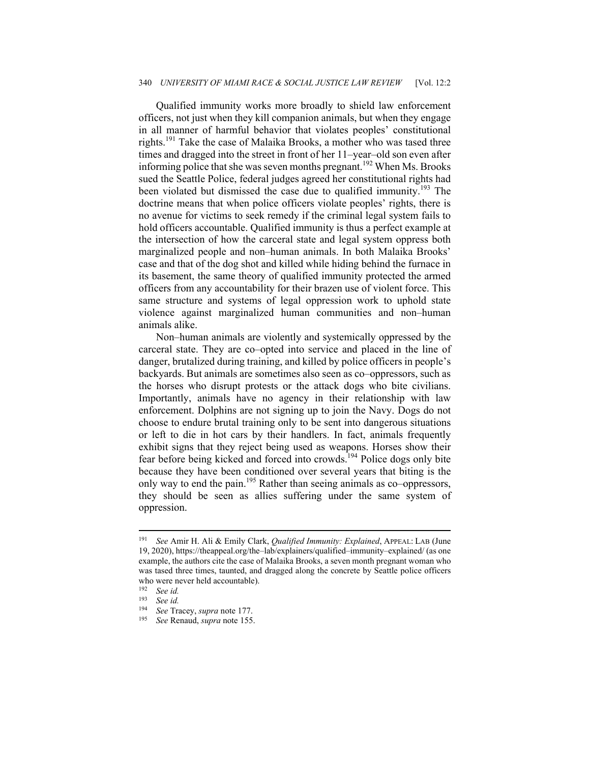Qualified immunity works more broadly to shield law enforcement officers, not just when they kill companion animals, but when they engage in all manner of harmful behavior that violates peoples' constitutional rights.<sup>191</sup> Take the case of Malaika Brooks, a mother who was tased three times and dragged into the street in front of her 11–year–old son even after informing police that she was seven months pregnant.<sup>192</sup> When Ms. Brooks sued the Seattle Police, federal judges agreed her constitutional rights had been violated but dismissed the case due to qualified immunity.<sup>193</sup> The doctrine means that when police officers violate peoples' rights, there is no avenue for victims to seek remedy if the criminal legal system fails to hold officers accountable. Qualified immunity is thus a perfect example at the intersection of how the carceral state and legal system oppress both marginalized people and non–human animals. In both Malaika Brooks' case and that of the dog shot and killed while hiding behind the furnace in its basement, the same theory of qualified immunity protected the armed officers from any accountability for their brazen use of violent force. This same structure and systems of legal oppression work to uphold state violence against marginalized human communities and non–human animals alike.

Non–human animals are violently and systemically oppressed by the carceral state. They are co–opted into service and placed in the line of danger, brutalized during training, and killed by police officers in people's backyards. But animals are sometimes also seen as co–oppressors, such as the horses who disrupt protests or the attack dogs who bite civilians. Importantly, animals have no agency in their relationship with law enforcement. Dolphins are not signing up to join the Navy. Dogs do not choose to endure brutal training only to be sent into dangerous situations or left to die in hot cars by their handlers. In fact, animals frequently exhibit signs that they reject being used as weapons. Horses show their fear before being kicked and forced into crowds.<sup>194</sup> Police dogs only bite because they have been conditioned over several years that biting is the only way to end the pain.195 Rather than seeing animals as co–oppressors, they should be seen as allies suffering under the same system of oppression.

<sup>191</sup> *See* Amir H. Ali & Emily Clark, *Qualified Immunity: Explained*, APPEAL: LAB (June 19, 2020), https://theappeal.org/the–lab/explainers/qualified–immunity–explained/ (as one example, the authors cite the case of Malaika Brooks, a seven month pregnant woman who was tased three times, taunted, and dragged along the concrete by Seattle police officers who were never held accountable).<br> $\frac{192}{20}$  See id

<sup>192</sup> *See id.* 

<sup>193</sup> *See id.* 

<sup>194</sup> *See* Tracey, *supra* note 177.

<sup>195</sup> *See* Renaud, *supra* note 155.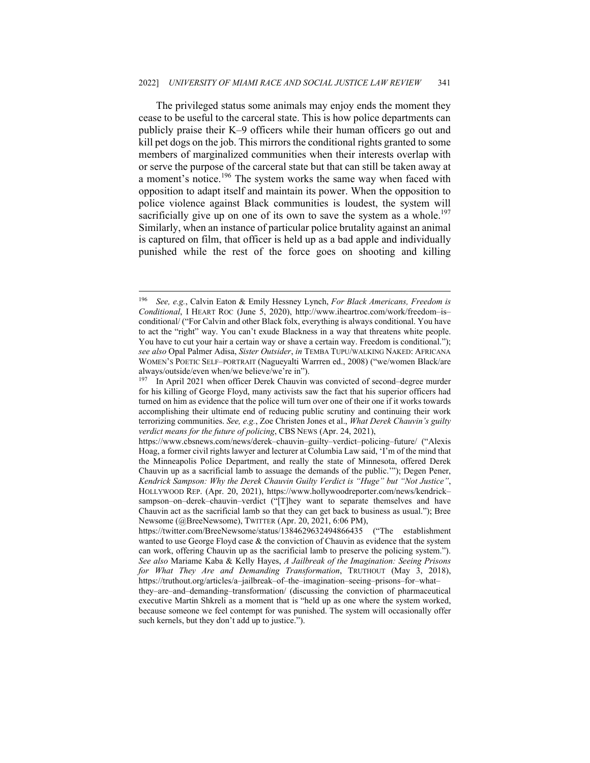The privileged status some animals may enjoy ends the moment they cease to be useful to the carceral state. This is how police departments can publicly praise their K–9 officers while their human officers go out and kill pet dogs on the job. This mirrors the conditional rights granted to some members of marginalized communities when their interests overlap with or serve the purpose of the carceral state but that can still be taken away at a moment's notice.<sup>196</sup> The system works the same way when faced with opposition to adapt itself and maintain its power. When the opposition to police violence against Black communities is loudest, the system will sacrificially give up on one of its own to save the system as a whole.<sup>197</sup> Similarly, when an instance of particular police brutality against an animal is captured on film, that officer is held up as a bad apple and individually punished while the rest of the force goes on shooting and killing

<sup>196</sup> *See, e.g.*, Calvin Eaton & Emily Hessney Lynch, *For Black Americans, Freedom is Conditional*, I HEART ROC (June 5, 2020), http://www.iheartroc.com/work/freedom–is– conditional/ ("For Calvin and other Black folx, everything is always conditional. You have to act the "right" way. You can't exude Blackness in a way that threatens white people. You have to cut your hair a certain way or shave a certain way. Freedom is conditional."); *see also* Opal Palmer Adisa, *Sister Outsider*, *in* TEMBA TUPU/WALKING NAKED: AFRICANA WOMEN'S POETIC SELF–PORTRAIT (Nagueyalti Warrren ed., 2008) ("we/women Black/are always/outside/even when/we believe/we're in").<br><sup>197</sup> In April 2021 when officer Derek Chauvin was convicted of second–degree murder

for his killing of George Floyd, many activists saw the fact that his superior officers had turned on him as evidence that the police will turn over one of their one if it works towards accomplishing their ultimate end of reducing public scrutiny and continuing their work terrorizing communities. *See, e.g.*, Zoe Christen Jones et al., *What Derek Chauvin's guilty verdict means for the future of policing*, CBS NEWS (Apr. 24, 2021),

https://www.cbsnews.com/news/derek–chauvin–guilty–verdict–policing–future/ ("Alexis Hoag, a former civil rights lawyer and lecturer at Columbia Law said, 'I'm of the mind that the Minneapolis Police Department, and really the state of Minnesota, offered Derek Chauvin up as a sacrificial lamb to assuage the demands of the public.'"); Degen Pener, *Kendrick Sampson: Why the Derek Chauvin Guilty Verdict is "Huge" but "Not Justice"*, HOLLYWOOD REP. (Apr. 20, 2021), https://www.hollywoodreporter.com/news/kendrick– sampson–on–derek–chauvin–verdict ("[T]hey want to separate themselves and have Chauvin act as the sacrificial lamb so that they can get back to business as usual."); Bree Newsome (@BreeNewsome), TWITTER (Apr. 20, 2021, 6:06 PM),

https://twitter.com/BreeNewsome/status/1384629632494866435 ("The establishment wanted to use George Floyd case  $\&$  the conviction of Chauvin as evidence that the system can work, offering Chauvin up as the sacrificial lamb to preserve the policing system."). *See also* Mariame Kaba & Kelly Hayes, *A Jailbreak of the Imagination: Seeing Prisons for What They Are and Demanding Transformation*, TRUTHOUT (May 3, 2018), https://truthout.org/articles/a–jailbreak–of–the–imagination–seeing–prisons–for–what–

they–are–and–demanding–transformation/ (discussing the conviction of pharmaceutical executive Martin Shkreli as a moment that is "held up as one where the system worked, because someone we feel contempt for was punished. The system will occasionally offer such kernels, but they don't add up to justice.").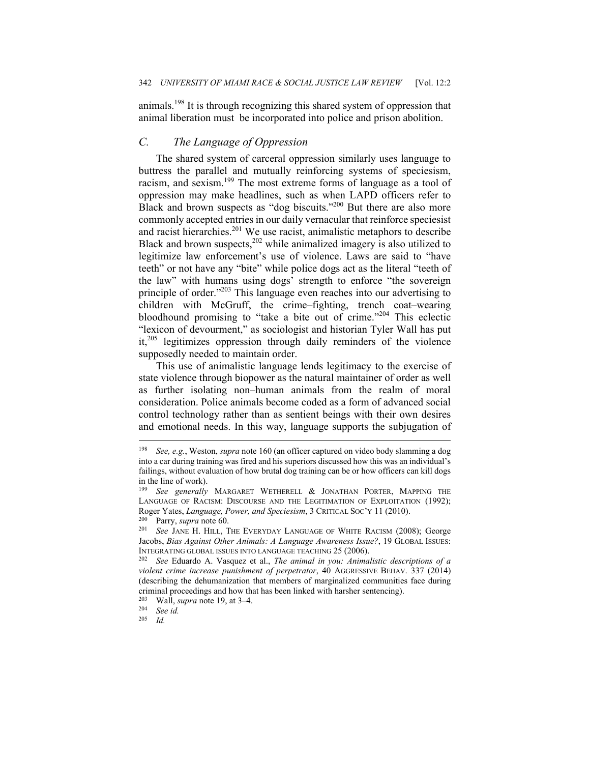animals.198 It is through recognizing this shared system of oppression that animal liberation must be incorporated into police and prison abolition.

## *C. The Language of Oppression*

The shared system of carceral oppression similarly uses language to buttress the parallel and mutually reinforcing systems of speciesism, racism, and sexism.199 The most extreme forms of language as a tool of oppression may make headlines, such as when LAPD officers refer to Black and brown suspects as "dog biscuits."<sup>200</sup> But there are also more commonly accepted entries in our daily vernacular that reinforce speciesist and racist hierarchies.<sup>201</sup> We use racist, animalistic metaphors to describe Black and brown suspects,<sup>202</sup> while animalized imagery is also utilized to legitimize law enforcement's use of violence. Laws are said to "have teeth" or not have any "bite" while police dogs act as the literal "teeth of the law" with humans using dogs' strength to enforce "the sovereign principle of order."203 This language even reaches into our advertising to children with McGruff, the crime–fighting, trench coat–wearing bloodhound promising to "take a bite out of crime."204 This eclectic "lexicon of devourment," as sociologist and historian Tyler Wall has put it,205 legitimizes oppression through daily reminders of the violence supposedly needed to maintain order.

This use of animalistic language lends legitimacy to the exercise of state violence through biopower as the natural maintainer of order as well as further isolating non–human animals from the realm of moral consideration. Police animals become coded as a form of advanced social control technology rather than as sentient beings with their own desires and emotional needs. In this way, language supports the subjugation of

*Id.* 

<sup>198</sup> *See, e.g.*, Weston, *supra* note 160 (an officer captured on video body slamming a dog into a car during training was fired and his superiors discussed how this was an individual's failings, without evaluation of how brutal dog training can be or how officers can kill dogs in the line of work).

<sup>199</sup> *See generally* MARGARET WETHERELL & JONATHAN PORTER, MAPPING THE LANGUAGE OF RACISM: DISCOURSE AND THE LEGITIMATION OF EXPLOITATION (1992); Roger Yates, *Language, Power, and Speciesism*, 3 CRITICAL SOC'Y 11 (2010).<br><sup>200</sup> Parry, *supra* note 60.<br><sup>201</sup> See JANE H. HILL, THE EVERYDAY LANGUAGE OF WHITE RACISM (2008); George

Jacobs, *Bias Against Other Animals: A Language Awareness Issue?*, 19 GLOBAL ISSUES: INTEGRATING GLOBAL ISSUES INTO LANGUAGE TEACHING 25 (2006). 202 *See* Eduardo A. Vasquez et al., *The animal in you: Animalistic descriptions of a* 

*violent crime increase punishment of perpetrator*, 40 AGGRESSIVE BEHAV. 337 (2014) (describing the dehumanization that members of marginalized communities face during criminal proceedings and how that has been linked with harsher sentencing).

<sup>203</sup> Wall, *supra* note 19, at 3–4. 204 *See id.*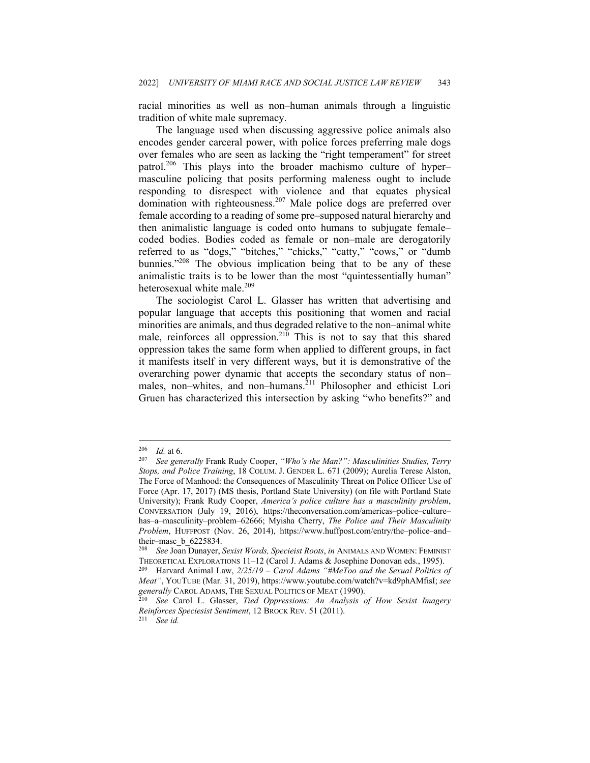racial minorities as well as non–human animals through a linguistic tradition of white male supremacy.

The language used when discussing aggressive police animals also encodes gender carceral power, with police forces preferring male dogs over females who are seen as lacking the "right temperament" for street patrol.<sup>206</sup> This plays into the broader machismo culture of hyper– masculine policing that posits performing maleness ought to include responding to disrespect with violence and that equates physical domination with righteousness.<sup>207</sup> Male police dogs are preferred over female according to a reading of some pre–supposed natural hierarchy and then animalistic language is coded onto humans to subjugate female– coded bodies. Bodies coded as female or non–male are derogatorily referred to as "dogs," "bitches," "chicks," "catty," "cows," or "dumb bunnies."<sup>208</sup> The obvious implication being that to be any of these animalistic traits is to be lower than the most "quintessentially human" heterosexual white male.<sup>209</sup>

The sociologist Carol L. Glasser has written that advertising and popular language that accepts this positioning that women and racial minorities are animals, and thus degraded relative to the non–animal white male, reinforces all oppression.<sup>210</sup> This is not to say that this shared oppression takes the same form when applied to different groups, in fact it manifests itself in very different ways, but it is demonstrative of the overarching power dynamic that accepts the secondary status of non– males, non-whites, and non-humans.<sup>211</sup> Philosopher and ethicist Lori Gruen has characterized this intersection by asking "who benefits?" and

<sup>206</sup> *Id.* at 6. 207 *See generally* Frank Rudy Cooper, *"Who's the Man?": Masculinities Studies, Terry Stops, and Police Training*, 18 COLUM. J. GENDER L. 671 (2009); Aurelia Terese Alston, The Force of Manhood: the Consequences of Masculinity Threat on Police Officer Use of Force (Apr. 17, 2017) (MS thesis, Portland State University) (on file with Portland State University); Frank Rudy Cooper, *America's police culture has a masculinity problem*, CONVERSATION (July 19, 2016), https://theconversation.com/americas–police–culture– has–a–masculinity–problem–62666; Myisha Cherry, *The Police and Their Masculinity Problem*, HUFFPOST (Nov. 26, 2014), https://www.huffpost.com/entry/the–police–and– their–masc\_b\_6225834.

<sup>208</sup> *See* Joan Dunayer, *Sexist Words, Specieist Roots*, *in* ANIMALS AND WOMEN: FEMINIST THEORETICAL EXPLORATIONS 11–12 (Carol J. Adams & Josephine Donovan eds., 1995). 209 Harvard Animal Law, *2/25/19 – Carol Adams "#MeToo and the Sexual Politics of* 

*Meat"*, YOUTUBE (Mar. 31, 2019), https://www.youtube.com/watch?v=kd9phAMfisI; *see generally* CAROL ADAMS, THE SEXUAL POLITICS OF MEAT (1990). 210 *See* Carol L. Glasser, *Tied Oppressions: An Analysis of How Sexist Imagery* 

*Reinforces Speciesist Sentiment*, 12 BROCK REV. 51 (2011). 211 *See id.*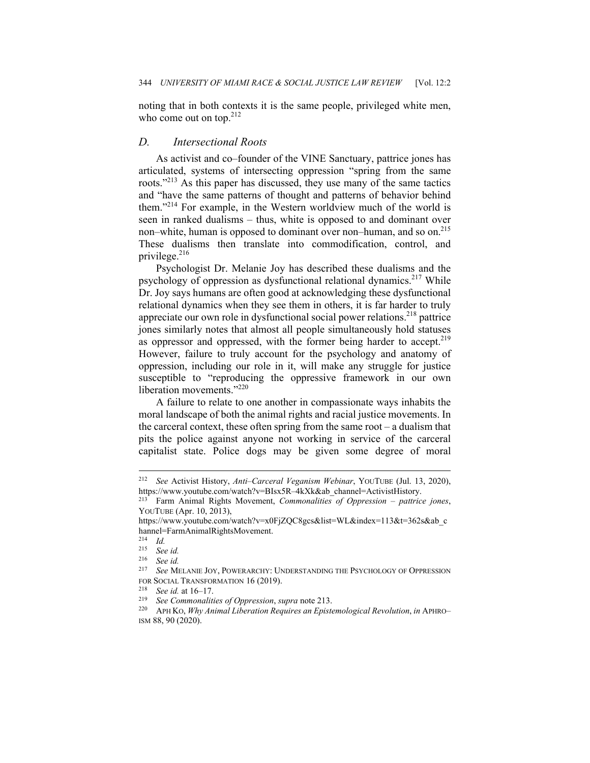noting that in both contexts it is the same people, privileged white men, who come out on top. $212$ 

#### *D. Intersectional Roots*

As activist and co–founder of the VINE Sanctuary, pattrice jones has articulated, systems of intersecting oppression "spring from the same roots."213 As this paper has discussed, they use many of the same tactics and "have the same patterns of thought and patterns of behavior behind them."214 For example, in the Western worldview much of the world is seen in ranked dualisms – thus, white is opposed to and dominant over non–white, human is opposed to dominant over non–human, and so on.<sup>215</sup> These dualisms then translate into commodification, control, and privilege.<sup>216</sup>

Psychologist Dr. Melanie Joy has described these dualisms and the psychology of oppression as dysfunctional relational dynamics.<sup>217</sup> While Dr. Joy says humans are often good at acknowledging these dysfunctional relational dynamics when they see them in others, it is far harder to truly appreciate our own role in dysfunctional social power relations.<sup>218</sup> pattrice jones similarly notes that almost all people simultaneously hold statuses as oppressor and oppressed, with the former being harder to accept.<sup>219</sup> However, failure to truly account for the psychology and anatomy of oppression, including our role in it, will make any struggle for justice susceptible to "reproducing the oppressive framework in our own liberation movements."<sup>220</sup>

A failure to relate to one another in compassionate ways inhabits the moral landscape of both the animal rights and racial justice movements. In the carceral context, these often spring from the same root – a dualism that pits the police against anyone not working in service of the carceral capitalist state. Police dogs may be given some degree of moral

<sup>212</sup> *See* Activist History, *Anti–Carceral Veganism Webinar*, YOUTUBE (Jul. 13, 2020), https://www.youtube.com/watch?v=BIsx5R–4kXk&ab\_channel=ActivistHistory. 213 Farm Animal Rights Movement, *Commonalities of Oppression – pattrice jones*,

YOUTUBE (Apr. 10, 2013),

https://www.youtube.com/watch?v=x0FjZQC8gcs&list=WL&index=113&t=362s&ab\_c hannel=FarmAnimalRightsMovement. 214 *Id.* 

<sup>215</sup> *See id.* 

<sup>216</sup> *See id.* 

See MELANIE JOY, POWERARCHY: UNDERSTANDING THE PSYCHOLOGY OF OPPRESSION FOR SOCIAL TRANSFORMATION 16 (2019).<br>
<sup>218</sup> See id. at 16–17.<br>
<sup>219</sup> See Commonalities of Oppression, supra note 213.<br>
<sup>220</sup> APH KO, *Why Animal Liberation Requires an Epistemological Revolution*, *in* APHRO–

ISM 88, 90 (2020).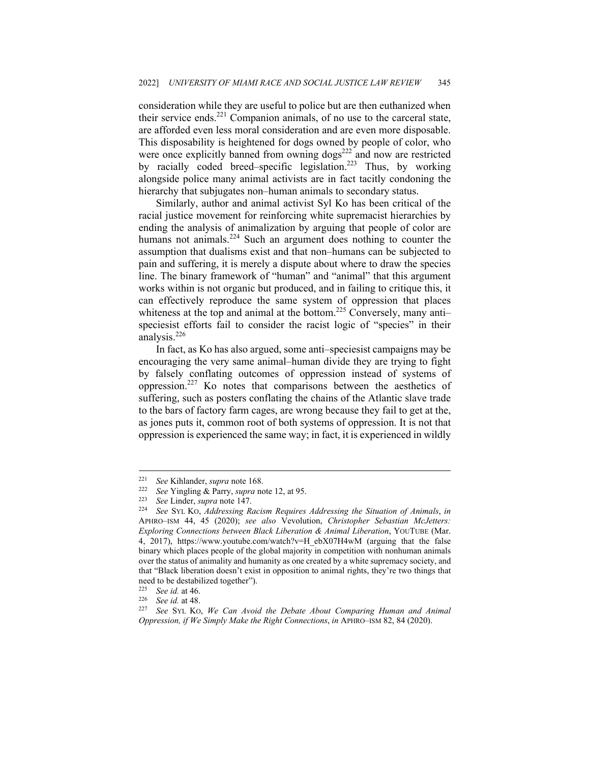consideration while they are useful to police but are then euthanized when their service ends.<sup>221</sup> Companion animals, of no use to the carceral state, are afforded even less moral consideration and are even more disposable. This disposability is heightened for dogs owned by people of color, who were once explicitly banned from owning dogs<sup>222</sup> and now are restricted by racially coded breed–specific legislation.<sup>223</sup> Thus, by working alongside police many animal activists are in fact tacitly condoning the hierarchy that subjugates non–human animals to secondary status.

Similarly, author and animal activist Syl Ko has been critical of the racial justice movement for reinforcing white supremacist hierarchies by ending the analysis of animalization by arguing that people of color are humans not animals.<sup>224</sup> Such an argument does nothing to counter the assumption that dualisms exist and that non–humans can be subjected to pain and suffering, it is merely a dispute about where to draw the species line. The binary framework of "human" and "animal" that this argument works within is not organic but produced, and in failing to critique this, it can effectively reproduce the same system of oppression that places whiteness at the top and animal at the bottom.<sup>225</sup> Conversely, many antispeciesist efforts fail to consider the racist logic of "species" in their analysis.<sup>226</sup>

In fact, as Ko has also argued, some anti–speciesist campaigns may be encouraging the very same animal–human divide they are trying to fight by falsely conflating outcomes of oppression instead of systems of oppression.227 Ko notes that comparisons between the aesthetics of suffering, such as posters conflating the chains of the Atlantic slave trade to the bars of factory farm cages, are wrong because they fail to get at the, as jones puts it, common root of both systems of oppression. It is not that oppression is experienced the same way; in fact, it is experienced in wildly

<sup>&</sup>lt;sup>221</sup> See Kihlander, *supra* note 168.<br>
<sup>222</sup> See Yingling & Parry, *supra* note 12, at 95.<br>
<sup>223</sup> See Linder, *supra* note 147.<br>
<sup>224</sup> See SYL Ko, *Addressing Racism Requires Addressing the Situation of Animals, in* APHRO–ISM 44, 45 (2020); *see also* Vevolution, *Christopher Sebastian McJetters: Exploring Connections between Black Liberation & Animal Liberation*, YOUTUBE (Mar. 4, 2017), https://www.youtube.com/watch?v=H\_ebX07H4wM (arguing that the false binary which places people of the global majority in competition with nonhuman animals over the status of animality and humanity as one created by a white supremacy society, and that "Black liberation doesn't exist in opposition to animal rights, they're two things that need to be destabilized together").

<sup>225</sup> *See id.* at 46. 226 *See id.* at 48. 227 *See* SYL KO, *We Can Avoid the Debate About Comparing Human and Animal Oppression, if We Simply Make the Right Connections*, *in* APHRO–ISM 82, 84 (2020).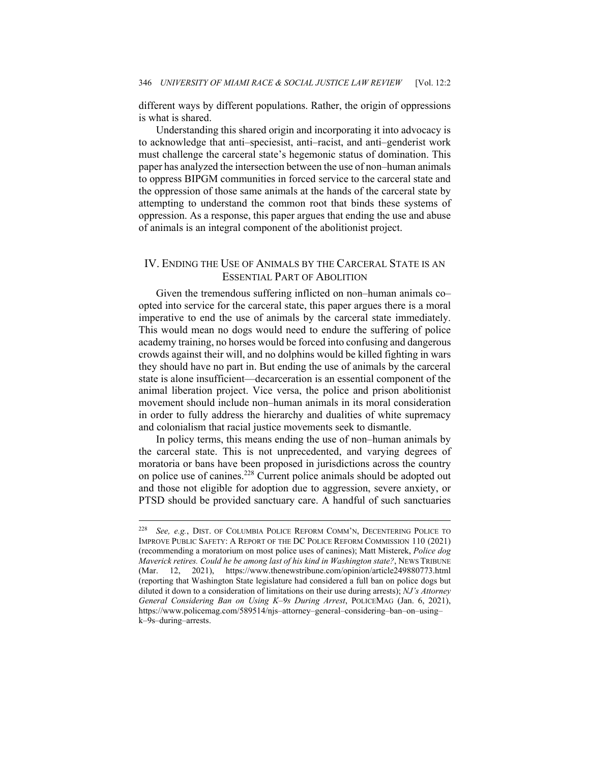different ways by different populations. Rather, the origin of oppressions is what is shared.

Understanding this shared origin and incorporating it into advocacy is to acknowledge that anti–speciesist, anti–racist, and anti–genderist work must challenge the carceral state's hegemonic status of domination. This paper has analyzed the intersection between the use of non–human animals to oppress BIPGM communities in forced service to the carceral state and the oppression of those same animals at the hands of the carceral state by attempting to understand the common root that binds these systems of oppression. As a response, this paper argues that ending the use and abuse of animals is an integral component of the abolitionist project.

## IV. ENDING THE USE OF ANIMALS BY THE CARCERAL STATE IS AN ESSENTIAL PART OF ABOLITION

Given the tremendous suffering inflicted on non–human animals co– opted into service for the carceral state, this paper argues there is a moral imperative to end the use of animals by the carceral state immediately. This would mean no dogs would need to endure the suffering of police academy training, no horses would be forced into confusing and dangerous crowds against their will, and no dolphins would be killed fighting in wars they should have no part in. But ending the use of animals by the carceral state is alone insufficient—decarceration is an essential component of the animal liberation project. Vice versa, the police and prison abolitionist movement should include non–human animals in its moral consideration in order to fully address the hierarchy and dualities of white supremacy and colonialism that racial justice movements seek to dismantle.

In policy terms, this means ending the use of non–human animals by the carceral state. This is not unprecedented, and varying degrees of moratoria or bans have been proposed in jurisdictions across the country on police use of canines.228 Current police animals should be adopted out and those not eligible for adoption due to aggression, severe anxiety, or PTSD should be provided sanctuary care. A handful of such sanctuaries

<sup>228</sup> *See, e.g.*, DIST. OF COLUMBIA POLICE REFORM COMM'N, DECENTERING POLICE TO IMPROVE PUBLIC SAFETY: A REPORT OF THE DC POLICE REFORM COMMISSION 110 (2021) (recommending a moratorium on most police uses of canines); Matt Misterek, *Police dog Maverick retires. Could he be among last of his kind in Washington state?*, NEWS TRIBUNE (Mar. 12, 2021), https://www.thenewstribune.com/opinion/article249880773.html (reporting that Washington State legislature had considered a full ban on police dogs but diluted it down to a consideration of limitations on their use during arrests); *NJ's Attorney General Considering Ban on Using K–9s During Arrest*, POLICEMAG (Jan. 6, 2021), https://www.policemag.com/589514/njs–attorney–general–considering–ban–on–using– k–9s–during–arrests.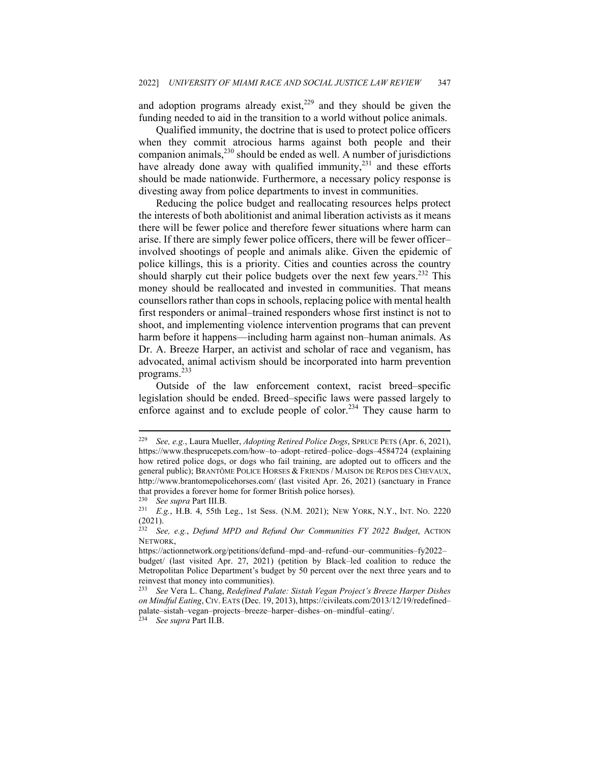and adoption programs already exist, $229$  and they should be given the funding needed to aid in the transition to a world without police animals.

Qualified immunity, the doctrine that is used to protect police officers when they commit atrocious harms against both people and their companion animals,<sup>230</sup> should be ended as well. A number of jurisdictions have already done away with qualified immunity, $2^{31}$  and these efforts should be made nationwide. Furthermore, a necessary policy response is divesting away from police departments to invest in communities.

Reducing the police budget and reallocating resources helps protect the interests of both abolitionist and animal liberation activists as it means there will be fewer police and therefore fewer situations where harm can arise. If there are simply fewer police officers, there will be fewer officer– involved shootings of people and animals alike. Given the epidemic of police killings, this is a priority. Cities and counties across the country should sharply cut their police budgets over the next few years.<sup>232</sup> This money should be reallocated and invested in communities. That means counsellors rather than cops in schools, replacing police with mental health first responders or animal–trained responders whose first instinct is not to shoot, and implementing violence intervention programs that can prevent harm before it happens—including harm against non–human animals. As Dr. A. Breeze Harper, an activist and scholar of race and veganism, has advocated, animal activism should be incorporated into harm prevention programs.<sup>233</sup>

Outside of the law enforcement context, racist breed–specific legislation should be ended. Breed–specific laws were passed largely to enforce against and to exclude people of color.<sup>234</sup> They cause harm to

<sup>229</sup> *See, e.g.*, Laura Mueller, *Adopting Retired Police Dogs*, SPRUCE PETS (Apr. 6, 2021), https://www.thesprucepets.com/how–to–adopt–retired–police–dogs–4584724 (explaining how retired police dogs, or dogs who fail training, are adopted out to officers and the general public); BRANTÔME POLICE HORSES & FRIENDS / MAISON DE REPOS DES CHEVAUX, http://www.brantomepolicehorses.com/ (last visited Apr. 26, 2021) (sanctuary in France that provides a forever home for former British police horses).

<sup>230</sup> *See supra* Part III.B. 231 *E.g.*, H.B. 4, 55th Leg., 1st Sess. (N.M. 2021); NEW YORK, N.Y., INT. NO. 2220  $\frac{(2021)}{232}$ .

<sup>232</sup> *See, e.g.*, *Defund MPD and Refund Our Communities FY 2022 Budget*, ACTION NETWORK,

https://actionnetwork.org/petitions/defund–mpd–and–refund–our–communities–fy2022– budget/ (last visited Apr. 27, 2021) (petition by Black–led coalition to reduce the Metropolitan Police Department's budget by 50 percent over the next three years and to reinvest that money into communities).

<sup>233</sup> *See* Vera L. Chang, *Redefined Palate: Sistah Vegan Project's Breeze Harper Dishes on Mindful Eating*, CIV. EATS (Dec. 19, 2013), https://civileats.com/2013/12/19/redefined– palate–sistah–vegan–projects–breeze–harper–dishes–on–mindful–eating/. 234 *See supra* Part II.B.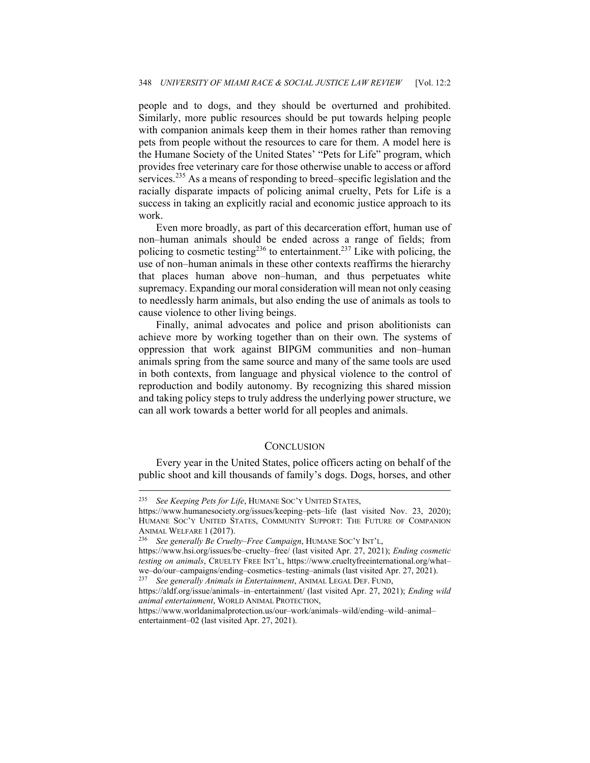people and to dogs, and they should be overturned and prohibited. Similarly, more public resources should be put towards helping people with companion animals keep them in their homes rather than removing pets from people without the resources to care for them. A model here is the Humane Society of the United States' "Pets for Life" program, which provides free veterinary care for those otherwise unable to access or afford services.<sup>235</sup> As a means of responding to breed–specific legislation and the racially disparate impacts of policing animal cruelty, Pets for Life is a success in taking an explicitly racial and economic justice approach to its work.

Even more broadly, as part of this decarceration effort, human use of non–human animals should be ended across a range of fields; from policing to cosmetic testing<sup>236</sup> to entertainment.<sup>237</sup> Like with policing, the use of non–human animals in these other contexts reaffirms the hierarchy that places human above non–human, and thus perpetuates white supremacy. Expanding our moral consideration will mean not only ceasing to needlessly harm animals, but also ending the use of animals as tools to cause violence to other living beings.

Finally, animal advocates and police and prison abolitionists can achieve more by working together than on their own. The systems of oppression that work against BIPGM communities and non–human animals spring from the same source and many of the same tools are used in both contexts, from language and physical violence to the control of reproduction and bodily autonomy. By recognizing this shared mission and taking policy steps to truly address the underlying power structure, we can all work towards a better world for all peoples and animals.

#### **CONCLUSION**

Every year in the United States, police officers acting on behalf of the public shoot and kill thousands of family's dogs. Dogs, horses, and other

<sup>235</sup> *See Keeping Pets for Life*, HUMANE SOC'Y UNITED STATES,

https://www.humanesociety.org/issues/keeping–pets–life (last visited Nov. 23, 2020); HUMANE SOC'Y UNITED STATES, COMMUNITY SUPPORT: THE FUTURE OF COMPANION ANIMAL WELFARE 1 (2017). 236 *See generally Be Cruelty–Free Campaign*, HUMANE SOC'Y INT'L,

https://www.hsi.org/issues/be–cruelty–free/ (last visited Apr. 27, 2021); *Ending cosmetic testing on animals*, CRUELTY FREE INT'L, https://www.crueltyfreeinternational.org/what– we–do/our–campaigns/ending–cosmetics–testing–animals (last visited Apr. 27, 2021). 237 *See generally Animals in Entertainment*, ANIMAL LEGAL DEF. FUND,

https://aldf.org/issue/animals–in–entertainment/ (last visited Apr. 27, 2021); *Ending wild animal entertainment*, WORLD ANIMAL PROTECTION,

https://www.worldanimalprotection.us/our–work/animals–wild/ending–wild–animal– entertainment–02 (last visited Apr. 27, 2021).